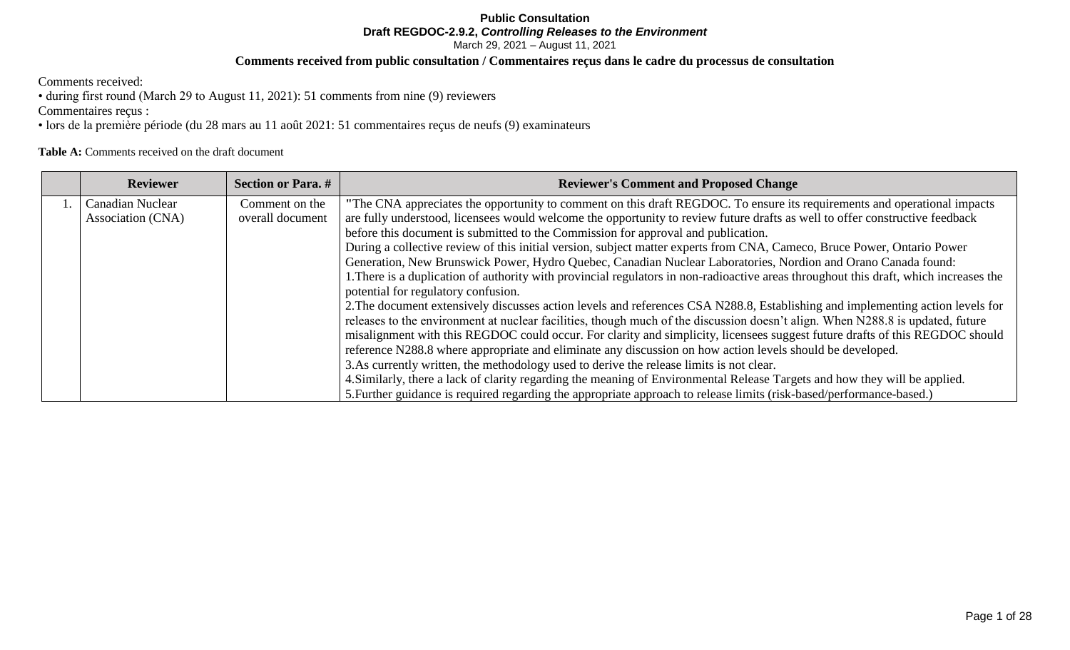# **Public Consultation Draft REGDOC-2.9.2,** *Controlling Releases to the Environment*

March 29, 2021 – August 11, 2021

# **Comments received from public consultation / Commentaires reçus dans le cadre du processus de consultation**

Comments received:

• during first round (March 29 to August 11, 2021): 51 comments from nine (9) reviewers

Commentaires reçus :

• lors de la première période (du 28 mars au 11 août 2021: 51 commentaires reçus de neufs (9) examinateurs

# **Table A:** Comments received on the draft document

| <b>Reviewer</b>         | <b>Section or Para.</b> # | <b>Reviewer's Comment and Proposed Change</b>                                                                                         |
|-------------------------|---------------------------|---------------------------------------------------------------------------------------------------------------------------------------|
| <b>Canadian Nuclear</b> | Comment on the            | "The CNA appreciates the opportunity to comment on this draft REGDOC. To ensure its requirements and operational impacts              |
| Association (CNA)       | overall document          | are fully understood, licensees would welcome the opportunity to review future drafts as well to offer constructive feedback          |
|                         |                           | before this document is submitted to the Commission for approval and publication.                                                     |
|                         |                           | During a collective review of this initial version, subject matter experts from CNA, Cameco, Bruce Power, Ontario Power               |
|                         |                           | Generation, New Brunswick Power, Hydro Quebec, Canadian Nuclear Laboratories, Nordion and Orano Canada found:                         |
|                         |                           | 1. There is a duplication of authority with provincial regulators in non-radioactive areas throughout this draft, which increases the |
|                         |                           | potential for regulatory confusion.                                                                                                   |
|                         |                           | 2. The document extensively discusses action levels and references CSA N288.8, Establishing and implementing action levels for        |
|                         |                           | releases to the environment at nuclear facilities, though much of the discussion doesn't align. When N288.8 is updated, future        |
|                         |                           | misalignment with this REGDOC could occur. For clarity and simplicity, licensees suggest future drafts of this REGDOC should          |
|                         |                           | reference N288.8 where appropriate and eliminate any discussion on how action levels should be developed.                             |
|                         |                           | 3. As currently written, the methodology used to derive the release limits is not clear.                                              |
|                         |                           | 4. Similarly, there a lack of clarity regarding the meaning of Environmental Release Targets and how they will be applied.            |
|                         |                           | 5. Further guidance is required regarding the appropriate approach to release limits (risk-based/performance-based.)                  |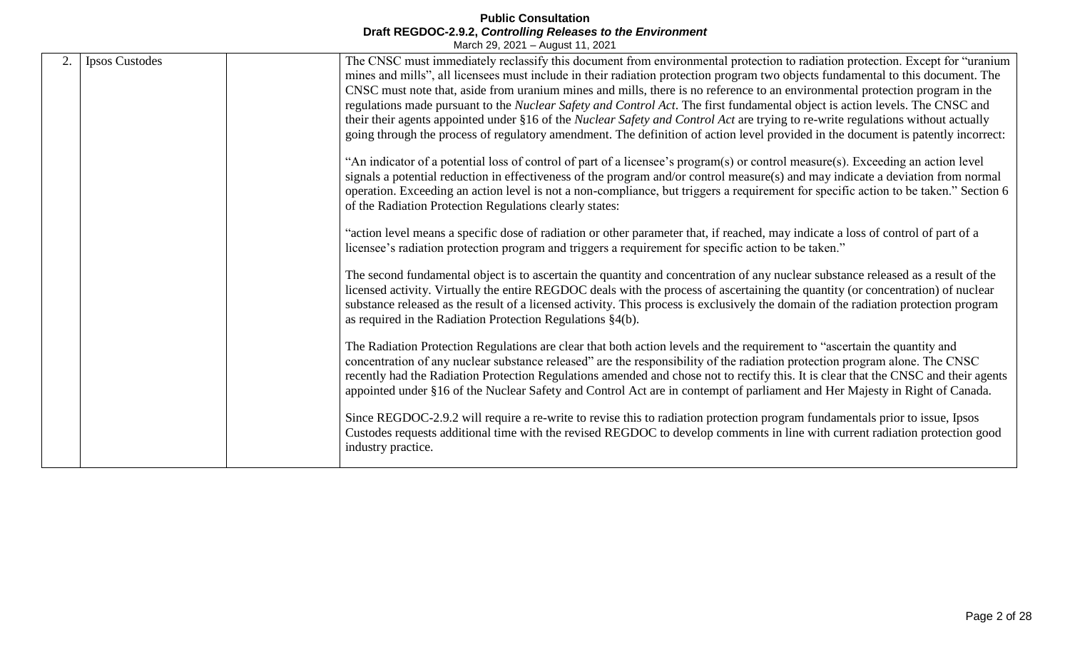| 2. | <b>Ipsos Custodes</b> | The CNSC must immediately reclassify this document from environmental protection to radiation protection. Except for "uranium           |
|----|-----------------------|-----------------------------------------------------------------------------------------------------------------------------------------|
|    |                       | mines and mills", all licensees must include in their radiation protection program two objects fundamental to this document. The        |
|    |                       | CNSC must note that, aside from uranium mines and mills, there is no reference to an environmental protection program in the            |
|    |                       | regulations made pursuant to the Nuclear Safety and Control Act. The first fundamental object is action levels. The CNSC and            |
|    |                       | their their agents appointed under §16 of the <i>Nuclear Safety and Control Act</i> are trying to re-write regulations without actually |
|    |                       | going through the process of regulatory amendment. The definition of action level provided in the document is patently incorrect:       |
|    |                       | "An indicator of a potential loss of control of part of a licensee's program(s) or control measure(s). Exceeding an action level        |
|    |                       | signals a potential reduction in effectiveness of the program and/or control measure(s) and may indicate a deviation from normal        |
|    |                       | operation. Exceeding an action level is not a non-compliance, but triggers a requirement for specific action to be taken." Section 6    |
|    |                       | of the Radiation Protection Regulations clearly states:                                                                                 |
|    |                       |                                                                                                                                         |
|    |                       | "action level means a specific dose of radiation or other parameter that, if reached, may indicate a loss of control of part of a       |
|    |                       | licensee's radiation protection program and triggers a requirement for specific action to be taken."                                    |
|    |                       | The second fundamental object is to ascertain the quantity and concentration of any nuclear substance released as a result of the       |
|    |                       | licensed activity. Virtually the entire REGDOC deals with the process of ascertaining the quantity (or concentration) of nuclear        |
|    |                       | substance released as the result of a licensed activity. This process is exclusively the domain of the radiation protection program     |
|    |                       | as required in the Radiation Protection Regulations $\S4(b)$ .                                                                          |
|    |                       |                                                                                                                                         |
|    |                       | The Radiation Protection Regulations are clear that both action levels and the requirement to "ascertain the quantity and               |
|    |                       | concentration of any nuclear substance released" are the responsibility of the radiation protection program alone. The CNSC             |
|    |                       | recently had the Radiation Protection Regulations amended and chose not to rectify this. It is clear that the CNSC and their agents     |
|    |                       | appointed under §16 of the Nuclear Safety and Control Act are in contempt of parliament and Her Majesty in Right of Canada.             |
|    |                       | Since REGDOC-2.9.2 will require a re-write to revise this to radiation protection program fundamentals prior to issue, Ipsos            |
|    |                       | Custodes requests additional time with the revised REGDOC to develop comments in line with current radiation protection good            |
|    |                       | industry practice.                                                                                                                      |
|    |                       |                                                                                                                                         |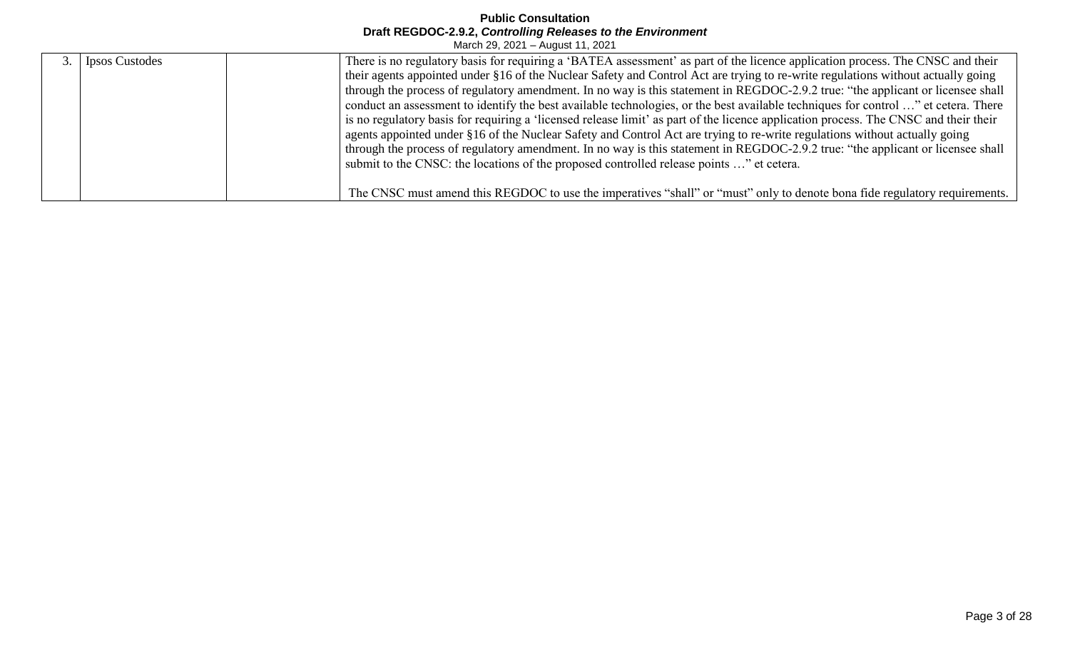| <b>Ipsos Custodes</b> | There is no regulatory basis for requiring a 'BATEA assessment' as part of the licence application process. The CNSC and their       |  |
|-----------------------|--------------------------------------------------------------------------------------------------------------------------------------|--|
|                       | their agents appointed under §16 of the Nuclear Safety and Control Act are trying to re-write regulations without actually going     |  |
|                       | through the process of regulatory amendment. In no way is this statement in REGDOC-2.9.2 true: "the applicant or licensee shall      |  |
|                       | conduct an assessment to identify the best available technologies, or the best available techniques for control " et cetera. There   |  |
|                       | is no regulatory basis for requiring a 'licensed release limit' as part of the licence application process. The CNSC and their their |  |
|                       | agents appointed under §16 of the Nuclear Safety and Control Act are trying to re-write regulations without actually going           |  |
|                       | through the process of regulatory amendment. In no way is this statement in REGDOC-2.9.2 true: "the applicant or licensee shall      |  |
|                       | submit to the CNSC: the locations of the proposed controlled release points " et cetera.                                             |  |
|                       |                                                                                                                                      |  |
|                       | The CNSC must amend this REGDOC to use the imperatives "shall" or "must" only to denote bona fide regulatory requirements.           |  |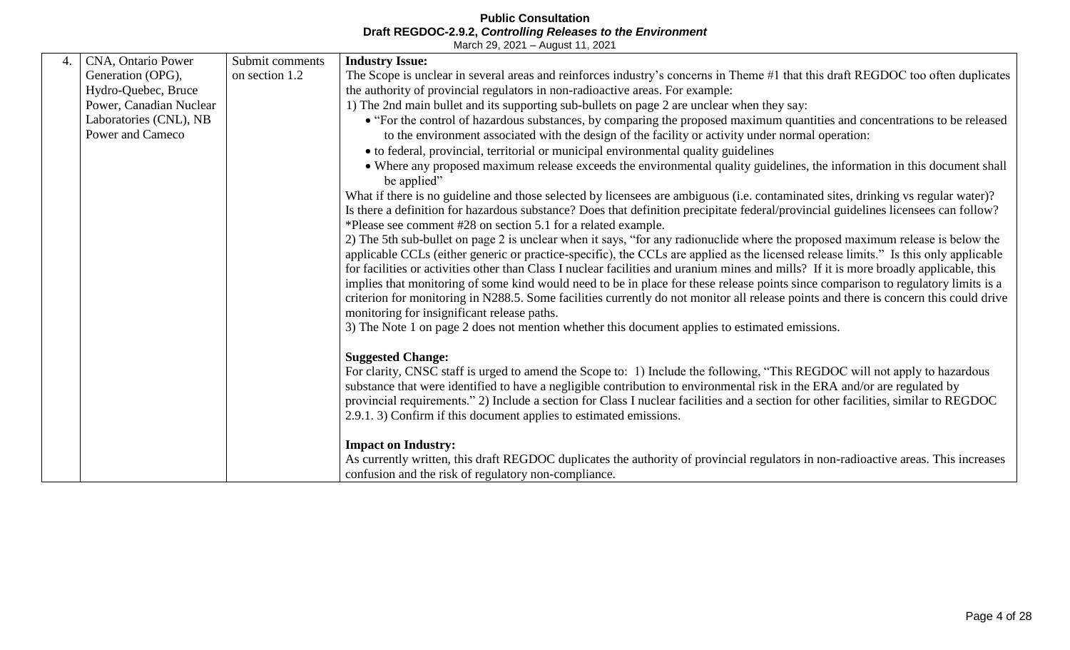| 4. | CNA, Ontario Power                         | Submit comments | <b>Industry Issue:</b>                                                                                                                                                                                                                                                                                                                                                                                                                                                                                                                                 |
|----|--------------------------------------------|-----------------|--------------------------------------------------------------------------------------------------------------------------------------------------------------------------------------------------------------------------------------------------------------------------------------------------------------------------------------------------------------------------------------------------------------------------------------------------------------------------------------------------------------------------------------------------------|
|    | Generation (OPG),                          | on section 1.2  | The Scope is unclear in several areas and reinforces industry's concerns in Theme #1 that this draft REGDOC too often duplicates                                                                                                                                                                                                                                                                                                                                                                                                                       |
|    | Hydro-Quebec, Bruce                        |                 | the authority of provincial regulators in non-radioactive areas. For example:                                                                                                                                                                                                                                                                                                                                                                                                                                                                          |
|    | Power, Canadian Nuclear                    |                 | 1) The 2nd main bullet and its supporting sub-bullets on page 2 are unclear when they say:                                                                                                                                                                                                                                                                                                                                                                                                                                                             |
|    | Laboratories (CNL), NB<br>Power and Cameco |                 | • "For the control of hazardous substances, by comparing the proposed maximum quantities and concentrations to be released<br>to the environment associated with the design of the facility or activity under normal operation:                                                                                                                                                                                                                                                                                                                        |
|    |                                            |                 | • to federal, provincial, territorial or municipal environmental quality guidelines                                                                                                                                                                                                                                                                                                                                                                                                                                                                    |
|    |                                            |                 | • Where any proposed maximum release exceeds the environmental quality guidelines, the information in this document shall<br>be applied"                                                                                                                                                                                                                                                                                                                                                                                                               |
|    |                                            |                 | What if there is no guideline and those selected by licensees are ambiguous (i.e. contaminated sites, drinking vs regular water)?<br>Is there a definition for hazardous substance? Does that definition precipitate federal/provincial guidelines licensees can follow?<br>*Please see comment #28 on section 5.1 for a related example.                                                                                                                                                                                                              |
|    |                                            |                 | 2) The 5th sub-bullet on page 2 is unclear when it says, "for any radionuclide where the proposed maximum release is below the<br>applicable CCLs (either generic or practice-specific), the CCLs are applied as the licensed release limits." Is this only applicable<br>for facilities or activities other than Class I nuclear facilities and uranium mines and mills? If it is more broadly applicable, this<br>implies that monitoring of some kind would need to be in place for these release points since comparison to regulatory limits is a |
|    |                                            |                 | criterion for monitoring in N288.5. Some facilities currently do not monitor all release points and there is concern this could drive<br>monitoring for insignificant release paths.                                                                                                                                                                                                                                                                                                                                                                   |
|    |                                            |                 | 3) The Note 1 on page 2 does not mention whether this document applies to estimated emissions.                                                                                                                                                                                                                                                                                                                                                                                                                                                         |
|    |                                            |                 | <b>Suggested Change:</b>                                                                                                                                                                                                                                                                                                                                                                                                                                                                                                                               |
|    |                                            |                 | For clarity, CNSC staff is urged to amend the Scope to: 1) Include the following, "This REGDOC will not apply to hazardous                                                                                                                                                                                                                                                                                                                                                                                                                             |
|    |                                            |                 | substance that were identified to have a negligible contribution to environmental risk in the ERA and/or are regulated by                                                                                                                                                                                                                                                                                                                                                                                                                              |
|    |                                            |                 | provincial requirements." 2) Include a section for Class I nuclear facilities and a section for other facilities, similar to REGDOC                                                                                                                                                                                                                                                                                                                                                                                                                    |
|    |                                            |                 | 2.9.1. 3) Confirm if this document applies to estimated emissions.                                                                                                                                                                                                                                                                                                                                                                                                                                                                                     |
|    |                                            |                 | <b>Impact on Industry:</b>                                                                                                                                                                                                                                                                                                                                                                                                                                                                                                                             |
|    |                                            |                 | As currently written, this draft REGDOC duplicates the authority of provincial regulators in non-radioactive areas. This increases                                                                                                                                                                                                                                                                                                                                                                                                                     |
|    |                                            |                 | confusion and the risk of regulatory non-compliance.                                                                                                                                                                                                                                                                                                                                                                                                                                                                                                   |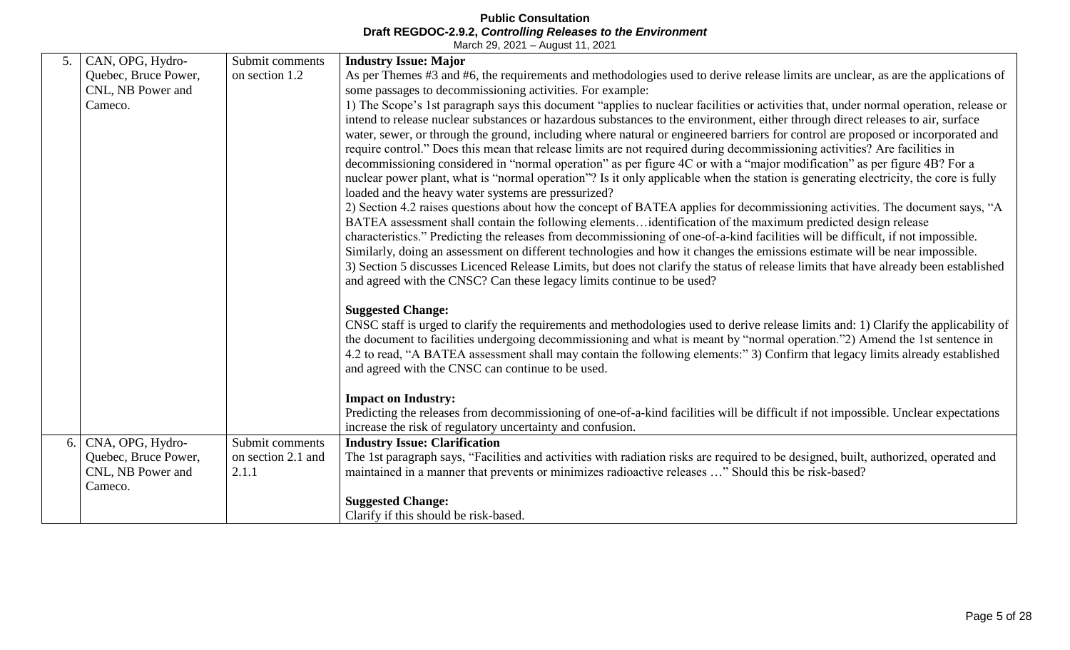| 5. | CAN, OPG, Hydro-     | Submit comments    | <b>Industry Issue: Major</b>                                                                                                                                                                                   |
|----|----------------------|--------------------|----------------------------------------------------------------------------------------------------------------------------------------------------------------------------------------------------------------|
|    | Quebec, Bruce Power, | on section 1.2     | As per Themes #3 and #6, the requirements and methodologies used to derive release limits are unclear, as are the applications of                                                                              |
|    | CNL, NB Power and    |                    | some passages to decommissioning activities. For example:                                                                                                                                                      |
|    | Cameco.              |                    | 1) The Scope's 1st paragraph says this document "applies to nuclear facilities or activities that, under normal operation, release or                                                                          |
|    |                      |                    | intend to release nuclear substances or hazardous substances to the environment, either through direct releases to air, surface                                                                                |
|    |                      |                    | water, sewer, or through the ground, including where natural or engineered barriers for control are proposed or incorporated and                                                                               |
|    |                      |                    | require control." Does this mean that release limits are not required during decommissioning activities? Are facilities in                                                                                     |
|    |                      |                    | decommissioning considered in "normal operation" as per figure 4C or with a "major modification" as per figure 4B? For a                                                                                       |
|    |                      |                    | nuclear power plant, what is "normal operation"? Is it only applicable when the station is generating electricity, the core is fully                                                                           |
|    |                      |                    | loaded and the heavy water systems are pressurized?                                                                                                                                                            |
|    |                      |                    | 2) Section 4.2 raises questions about how the concept of BATEA applies for decommissioning activities. The document says, "A                                                                                   |
|    |                      |                    | BATEA assessment shall contain the following elementsidentification of the maximum predicted design release                                                                                                    |
|    |                      |                    | characteristics." Predicting the releases from decommissioning of one-of-a-kind facilities will be difficult, if not impossible.                                                                               |
|    |                      |                    | Similarly, doing an assessment on different technologies and how it changes the emissions estimate will be near impossible.                                                                                    |
|    |                      |                    | 3) Section 5 discusses Licenced Release Limits, but does not clarify the status of release limits that have already been established<br>and agreed with the CNSC? Can these legacy limits continue to be used? |
|    |                      |                    |                                                                                                                                                                                                                |
|    |                      |                    | <b>Suggested Change:</b>                                                                                                                                                                                       |
|    |                      |                    | CNSC staff is urged to clarify the requirements and methodologies used to derive release limits and: 1) Clarify the applicability of                                                                           |
|    |                      |                    | the document to facilities undergoing decommissioning and what is meant by "normal operation."2) Amend the 1st sentence in                                                                                     |
|    |                      |                    | 4.2 to read, "A BATEA assessment shall may contain the following elements:" 3) Confirm that legacy limits already established                                                                                  |
|    |                      |                    | and agreed with the CNSC can continue to be used.                                                                                                                                                              |
|    |                      |                    |                                                                                                                                                                                                                |
|    |                      |                    | <b>Impact on Industry:</b>                                                                                                                                                                                     |
|    |                      |                    | Predicting the releases from decommissioning of one-of-a-kind facilities will be difficult if not impossible. Unclear expectations                                                                             |
|    |                      |                    | increase the risk of regulatory uncertainty and confusion.                                                                                                                                                     |
| 6. | CNA, OPG, Hydro-     | Submit comments    | <b>Industry Issue: Clarification</b>                                                                                                                                                                           |
|    | Quebec, Bruce Power, | on section 2.1 and | The 1st paragraph says, "Facilities and activities with radiation risks are required to be designed, built, authorized, operated and                                                                           |
|    | CNL, NB Power and    | 2.1.1              | maintained in a manner that prevents or minimizes radioactive releases " Should this be risk-based?                                                                                                            |
|    | Cameco.              |                    |                                                                                                                                                                                                                |
|    |                      |                    | <b>Suggested Change:</b>                                                                                                                                                                                       |
|    |                      |                    | Clarify if this should be risk-based.                                                                                                                                                                          |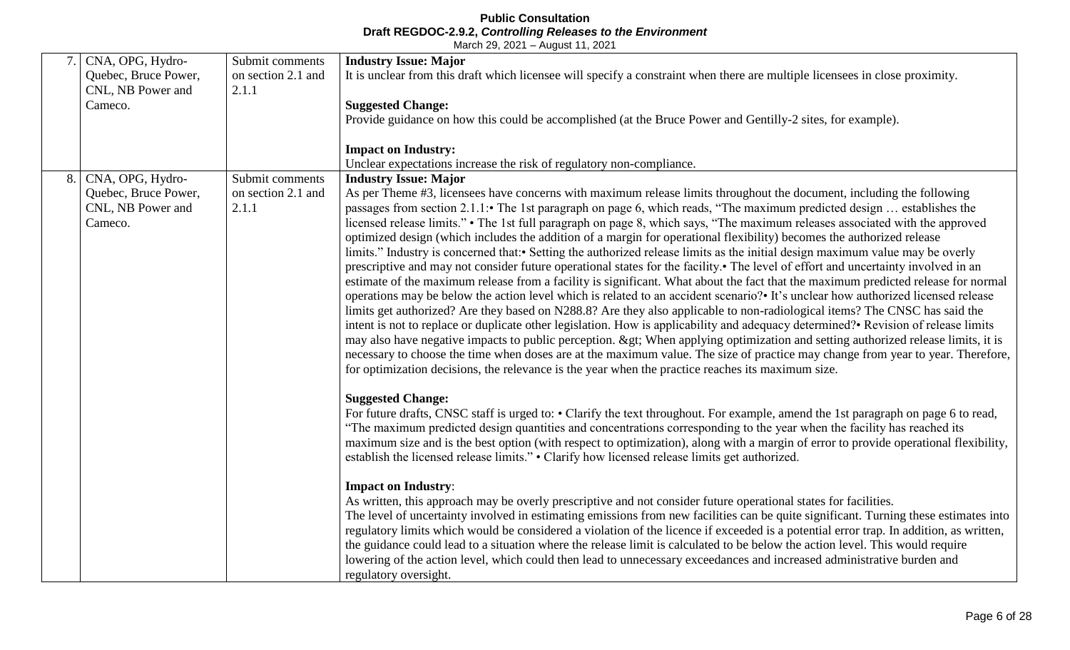|    | CNA, OPG, Hydro-<br>Quebec, Bruce Power, | Submit comments<br>on section 2.1 and | <b>Industry Issue: Major</b><br>It is unclear from this draft which licensee will specify a constraint when there are multiple licensees in close proximity.                                                                                                            |
|----|------------------------------------------|---------------------------------------|-------------------------------------------------------------------------------------------------------------------------------------------------------------------------------------------------------------------------------------------------------------------------|
|    | CNL, NB Power and                        | 2.1.1                                 |                                                                                                                                                                                                                                                                         |
|    | Cameco.                                  |                                       | <b>Suggested Change:</b>                                                                                                                                                                                                                                                |
|    |                                          |                                       | Provide guidance on how this could be accomplished (at the Bruce Power and Gentilly-2 sites, for example).                                                                                                                                                              |
|    |                                          |                                       | <b>Impact on Industry:</b>                                                                                                                                                                                                                                              |
|    |                                          |                                       | Unclear expectations increase the risk of regulatory non-compliance.                                                                                                                                                                                                    |
| 8. | CNA, OPG, Hydro-                         | Submit comments                       | <b>Industry Issue: Major</b>                                                                                                                                                                                                                                            |
|    | Quebec, Bruce Power,                     | on section 2.1 and                    | As per Theme #3, licensees have concerns with maximum release limits throughout the document, including the following                                                                                                                                                   |
|    | CNL, NB Power and<br>Cameco.             | 2.1.1                                 | passages from section 2.1.1: The 1st paragraph on page 6, which reads, "The maximum predicted design  establishes the<br>licensed release limits." • The 1st full paragraph on page 8, which says, "The maximum releases associated with the approved                   |
|    |                                          |                                       | optimized design (which includes the addition of a margin for operational flexibility) becomes the authorized release                                                                                                                                                   |
|    |                                          |                                       | limits." Industry is concerned that: • Setting the authorized release limits as the initial design maximum value may be overly                                                                                                                                          |
|    |                                          |                                       | prescriptive and may not consider future operational states for the facility.• The level of effort and uncertainty involved in an                                                                                                                                       |
|    |                                          |                                       | estimate of the maximum release from a facility is significant. What about the fact that the maximum predicted release for normal                                                                                                                                       |
|    |                                          |                                       | operations may be below the action level which is related to an accident scenario? It's unclear how authorized licensed release<br>limits get authorized? Are they based on N288.8? Are they also applicable to non-radiological items? The CNSC has said the           |
|    |                                          |                                       | intent is not to replace or duplicate other legislation. How is applicability and adequacy determined? Revision of release limits                                                                                                                                       |
|    |                                          |                                       | may also have negative impacts to public perception. > When applying optimization and setting authorized release limits, it is                                                                                                                                          |
|    |                                          |                                       | necessary to choose the time when doses are at the maximum value. The size of practice may change from year to year. Therefore,                                                                                                                                         |
|    |                                          |                                       | for optimization decisions, the relevance is the year when the practice reaches its maximum size.                                                                                                                                                                       |
|    |                                          |                                       | <b>Suggested Change:</b>                                                                                                                                                                                                                                                |
|    |                                          |                                       | For future drafts, CNSC staff is urged to: • Clarify the text throughout. For example, amend the 1st paragraph on page 6 to read,                                                                                                                                       |
|    |                                          |                                       | "The maximum predicted design quantities and concentrations corresponding to the year when the facility has reached its                                                                                                                                                 |
|    |                                          |                                       | maximum size and is the best option (with respect to optimization), along with a margin of error to provide operational flexibility,                                                                                                                                    |
|    |                                          |                                       | establish the licensed release limits." • Clarify how licensed release limits get authorized.                                                                                                                                                                           |
|    |                                          |                                       | <b>Impact on Industry:</b>                                                                                                                                                                                                                                              |
|    |                                          |                                       | As written, this approach may be overly prescriptive and not consider future operational states for facilities.                                                                                                                                                         |
|    |                                          |                                       | The level of uncertainty involved in estimating emissions from new facilities can be quite significant. Turning these estimates into                                                                                                                                    |
|    |                                          |                                       | regulatory limits which would be considered a violation of the licence if exceeded is a potential error trap. In addition, as written,<br>the guidance could lead to a situation where the release limit is calculated to be below the action level. This would require |
|    |                                          |                                       | lowering of the action level, which could then lead to unnecessary exceedances and increased administrative burden and                                                                                                                                                  |
|    |                                          |                                       | regulatory oversight.                                                                                                                                                                                                                                                   |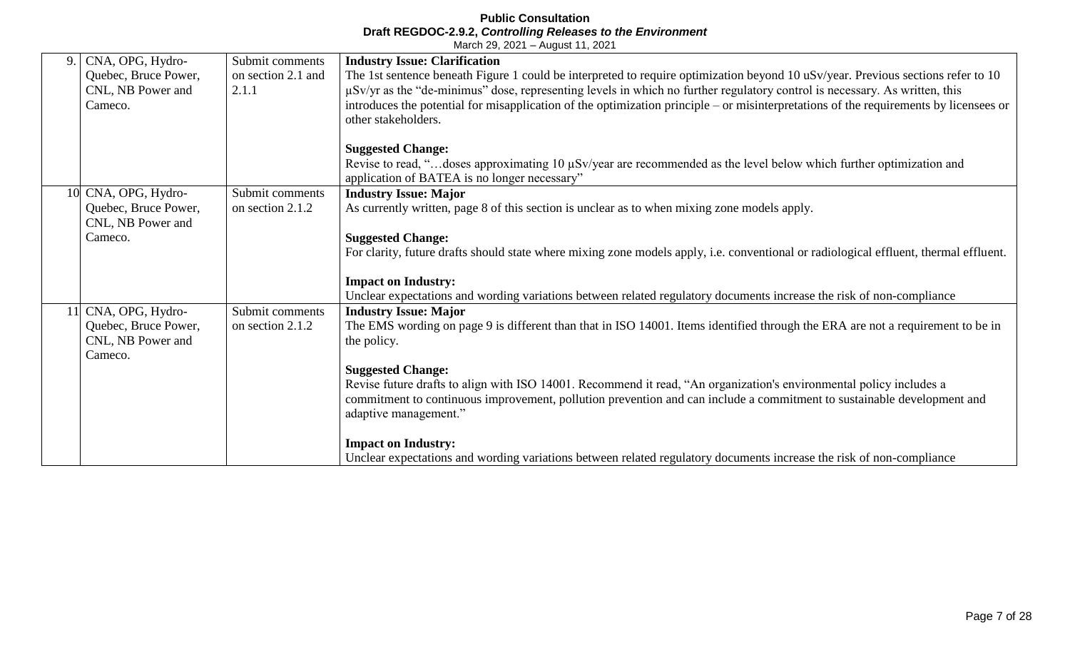| 9.        | CNA, OPG, Hydro-<br>Quebec, Bruce Power,<br>CNL, NB Power and<br>Cameco. | Submit comments<br>on section 2.1 and<br>2.1.1 | <b>Industry Issue: Clarification</b><br>The 1st sentence beneath Figure 1 could be interpreted to require optimization beyond 10 uSv/year. Previous sections refer to 10<br>µSv/yr as the "de-minimus" dose, representing levels in which no further regulatory control is necessary. As written, this<br>introduces the potential for misapplication of the optimization principle – or misinterpretations of the requirements by licensees or<br>other stakeholders. |
|-----------|--------------------------------------------------------------------------|------------------------------------------------|------------------------------------------------------------------------------------------------------------------------------------------------------------------------------------------------------------------------------------------------------------------------------------------------------------------------------------------------------------------------------------------------------------------------------------------------------------------------|
|           |                                                                          |                                                | <b>Suggested Change:</b><br>Revise to read, "doses approximating 10 µSv/year are recommended as the level below which further optimization and<br>application of BATEA is no longer necessary"                                                                                                                                                                                                                                                                         |
|           | 10 CNA, OPG, Hydro-<br>Quebec, Bruce Power,<br>CNL, NB Power and         | Submit comments<br>on section 2.1.2            | <b>Industry Issue: Major</b><br>As currently written, page 8 of this section is unclear as to when mixing zone models apply.                                                                                                                                                                                                                                                                                                                                           |
|           | Cameco.                                                                  |                                                | <b>Suggested Change:</b><br>For clarity, future drafts should state where mixing zone models apply, i.e. conventional or radiological effluent, thermal effluent.                                                                                                                                                                                                                                                                                                      |
|           |                                                                          |                                                | <b>Impact on Industry:</b><br>Unclear expectations and wording variations between related regulatory documents increase the risk of non-compliance                                                                                                                                                                                                                                                                                                                     |
| <b>11</b> | CNA, OPG, Hydro-<br>Quebec, Bruce Power,<br>CNL, NB Power and<br>Cameco. | Submit comments<br>on section 2.1.2            | <b>Industry Issue: Major</b><br>The EMS wording on page 9 is different than that in ISO 14001. Items identified through the ERA are not a requirement to be in<br>the policy.                                                                                                                                                                                                                                                                                          |
|           |                                                                          |                                                | <b>Suggested Change:</b><br>Revise future drafts to align with ISO 14001. Recommend it read, "An organization's environmental policy includes a<br>commitment to continuous improvement, pollution prevention and can include a commitment to sustainable development and<br>adaptive management."                                                                                                                                                                     |
|           |                                                                          |                                                | <b>Impact on Industry:</b><br>Unclear expectations and wording variations between related regulatory documents increase the risk of non-compliance                                                                                                                                                                                                                                                                                                                     |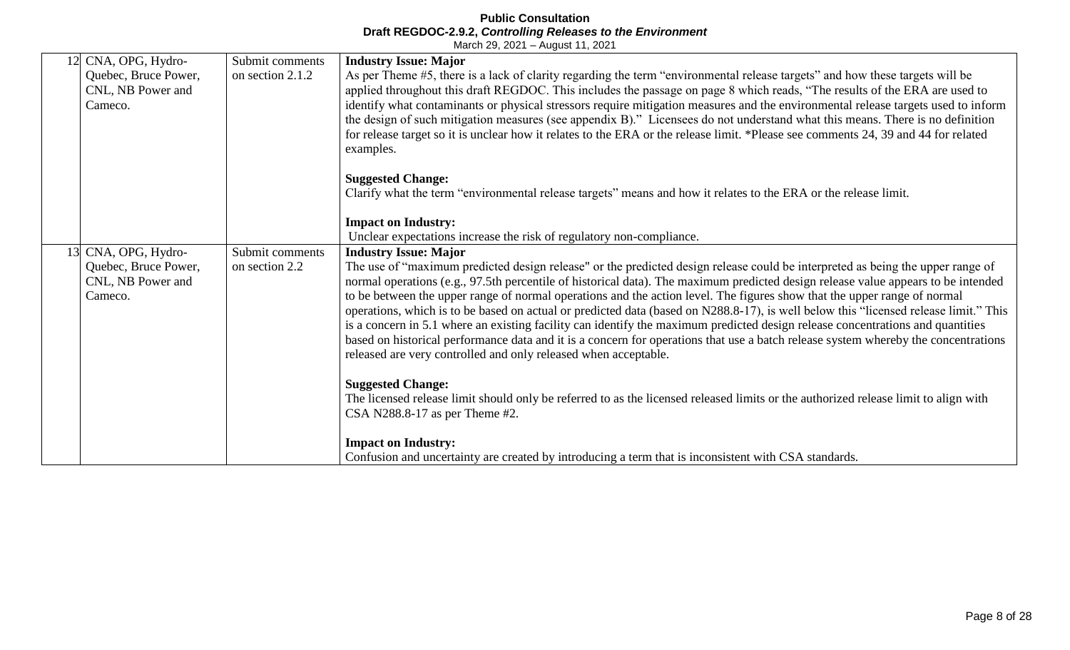|    | CNA, OPG, Hydro-                                     | Submit comments  | <b>Industry Issue: Major</b>                                                                                                                                                                                                                                                                                                                                                                                                                                                                                                     |
|----|------------------------------------------------------|------------------|----------------------------------------------------------------------------------------------------------------------------------------------------------------------------------------------------------------------------------------------------------------------------------------------------------------------------------------------------------------------------------------------------------------------------------------------------------------------------------------------------------------------------------|
|    | Quebec, Bruce Power,<br>CNL, NB Power and<br>Cameco. | on section 2.1.2 | As per Theme #5, there is a lack of clarity regarding the term "environmental release targets" and how these targets will be<br>applied throughout this draft REGDOC. This includes the passage on page 8 which reads, "The results of the ERA are used to<br>identify what contaminants or physical stressors require mitigation measures and the environmental release targets used to inform<br>the design of such mitigation measures (see appendix B)." Licensees do not understand what this means. There is no definition |
|    |                                                      |                  | for release target so it is unclear how it relates to the ERA or the release limit. *Please see comments 24, 39 and 44 for related<br>examples.                                                                                                                                                                                                                                                                                                                                                                                  |
|    |                                                      |                  | <b>Suggested Change:</b>                                                                                                                                                                                                                                                                                                                                                                                                                                                                                                         |
|    |                                                      |                  | Clarify what the term "environmental release targets" means and how it relates to the ERA or the release limit.                                                                                                                                                                                                                                                                                                                                                                                                                  |
|    |                                                      |                  | <b>Impact on Industry:</b>                                                                                                                                                                                                                                                                                                                                                                                                                                                                                                       |
|    |                                                      |                  | Unclear expectations increase the risk of regulatory non-compliance.                                                                                                                                                                                                                                                                                                                                                                                                                                                             |
| 13 | CNA, OPG, Hydro-                                     | Submit comments  | <b>Industry Issue: Major</b>                                                                                                                                                                                                                                                                                                                                                                                                                                                                                                     |
|    | Quebec, Bruce Power,                                 | on section 2.2   | The use of "maximum predicted design release" or the predicted design release could be interpreted as being the upper range of                                                                                                                                                                                                                                                                                                                                                                                                   |
|    | CNL, NB Power and                                    |                  | normal operations (e.g., 97.5th percentile of historical data). The maximum predicted design release value appears to be intended                                                                                                                                                                                                                                                                                                                                                                                                |
|    | Cameco.                                              |                  | to be between the upper range of normal operations and the action level. The figures show that the upper range of normal                                                                                                                                                                                                                                                                                                                                                                                                         |
|    |                                                      |                  | operations, which is to be based on actual or predicted data (based on N288.8-17), is well below this "licensed release limit." This                                                                                                                                                                                                                                                                                                                                                                                             |
|    |                                                      |                  | is a concern in 5.1 where an existing facility can identify the maximum predicted design release concentrations and quantities                                                                                                                                                                                                                                                                                                                                                                                                   |
|    |                                                      |                  | based on historical performance data and it is a concern for operations that use a batch release system whereby the concentrations                                                                                                                                                                                                                                                                                                                                                                                               |
|    |                                                      |                  | released are very controlled and only released when acceptable.                                                                                                                                                                                                                                                                                                                                                                                                                                                                  |
|    |                                                      |                  | <b>Suggested Change:</b>                                                                                                                                                                                                                                                                                                                                                                                                                                                                                                         |
|    |                                                      |                  | The licensed release limit should only be referred to as the licensed released limits or the authorized release limit to align with                                                                                                                                                                                                                                                                                                                                                                                              |
|    |                                                      |                  | CSA N288.8-17 as per Theme $#2$ .                                                                                                                                                                                                                                                                                                                                                                                                                                                                                                |
|    |                                                      |                  | <b>Impact on Industry:</b>                                                                                                                                                                                                                                                                                                                                                                                                                                                                                                       |
|    |                                                      |                  | Confusion and uncertainty are created by introducing a term that is inconsistent with CSA standards.                                                                                                                                                                                                                                                                                                                                                                                                                             |
|    |                                                      |                  |                                                                                                                                                                                                                                                                                                                                                                                                                                                                                                                                  |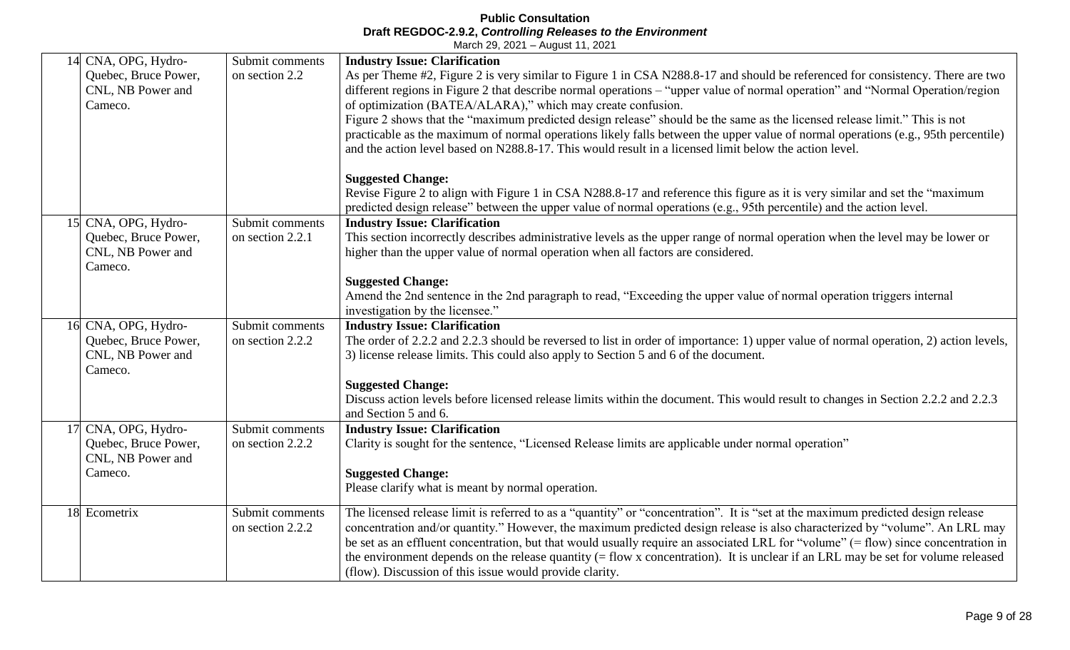|    | CNA, OPG, Hydro-<br>Quebec, Bruce Power,<br>CNL, NB Power and<br>Cameco.    | Submit comments<br>on section 2.2   | <b>Industry Issue: Clarification</b><br>As per Theme #2, Figure 2 is very similar to Figure 1 in CSA N288.8-17 and should be referenced for consistency. There are two<br>different regions in Figure 2 that describe normal operations – "upper value of normal operation" and "Normal Operation/region<br>of optimization (BATEA/ALARA)," which may create confusion.<br>Figure 2 shows that the "maximum predicted design release" should be the same as the licensed release limit." This is not<br>practicable as the maximum of normal operations likely falls between the upper value of normal operations (e.g., 95th percentile)<br>and the action level based on N288.8-17. This would result in a licensed limit below the action level. |
|----|-----------------------------------------------------------------------------|-------------------------------------|-----------------------------------------------------------------------------------------------------------------------------------------------------------------------------------------------------------------------------------------------------------------------------------------------------------------------------------------------------------------------------------------------------------------------------------------------------------------------------------------------------------------------------------------------------------------------------------------------------------------------------------------------------------------------------------------------------------------------------------------------------|
|    |                                                                             |                                     | <b>Suggested Change:</b><br>Revise Figure 2 to align with Figure 1 in CSA N288.8-17 and reference this figure as it is very similar and set the "maximum<br>predicted design release" between the upper value of normal operations (e.g., 95th percentile) and the action level.                                                                                                                                                                                                                                                                                                                                                                                                                                                                    |
|    | 15 CNA, OPG, Hydro-<br>Quebec, Bruce Power,<br>CNL, NB Power and<br>Cameco. | Submit comments<br>on section 2.2.1 | <b>Industry Issue: Clarification</b><br>This section incorrectly describes administrative levels as the upper range of normal operation when the level may be lower or<br>higher than the upper value of normal operation when all factors are considered.                                                                                                                                                                                                                                                                                                                                                                                                                                                                                          |
|    |                                                                             |                                     | <b>Suggested Change:</b><br>Amend the 2nd sentence in the 2nd paragraph to read, "Exceeding the upper value of normal operation triggers internal<br>investigation by the licensee."                                                                                                                                                                                                                                                                                                                                                                                                                                                                                                                                                                |
| 16 | CNA, OPG, Hydro-<br>Quebec, Bruce Power,<br>CNL, NB Power and<br>Cameco.    | Submit comments<br>on section 2.2.2 | <b>Industry Issue: Clarification</b><br>The order of 2.2.2 and 2.2.3 should be reversed to list in order of importance: 1) upper value of normal operation, 2) action levels,<br>3) license release limits. This could also apply to Section 5 and 6 of the document.                                                                                                                                                                                                                                                                                                                                                                                                                                                                               |
|    |                                                                             |                                     | <b>Suggested Change:</b><br>Discuss action levels before licensed release limits within the document. This would result to changes in Section 2.2.2 and 2.2.3<br>and Section 5 and 6.                                                                                                                                                                                                                                                                                                                                                                                                                                                                                                                                                               |
| 17 | CNA, OPG, Hydro-<br>Quebec, Bruce Power,<br>CNL, NB Power and<br>Cameco.    | Submit comments<br>on section 2.2.2 | <b>Industry Issue: Clarification</b><br>Clarity is sought for the sentence, "Licensed Release limits are applicable under normal operation"<br><b>Suggested Change:</b><br>Please clarify what is meant by normal operation.                                                                                                                                                                                                                                                                                                                                                                                                                                                                                                                        |
|    | 18 Ecometrix                                                                | Submit comments<br>on section 2.2.2 | The licensed release limit is referred to as a "quantity" or "concentration". It is "set at the maximum predicted design release<br>concentration and/or quantity." However, the maximum predicted design release is also characterized by "volume". An LRL may<br>be set as an effluent concentration, but that would usually require an associated LRL for "volume" (= flow) since concentration in<br>the environment depends on the release quantity $(=\text{flow x concentration})$ . It is unclear if an LRL may be set for volume released<br>(flow). Discussion of this issue would provide clarity.                                                                                                                                       |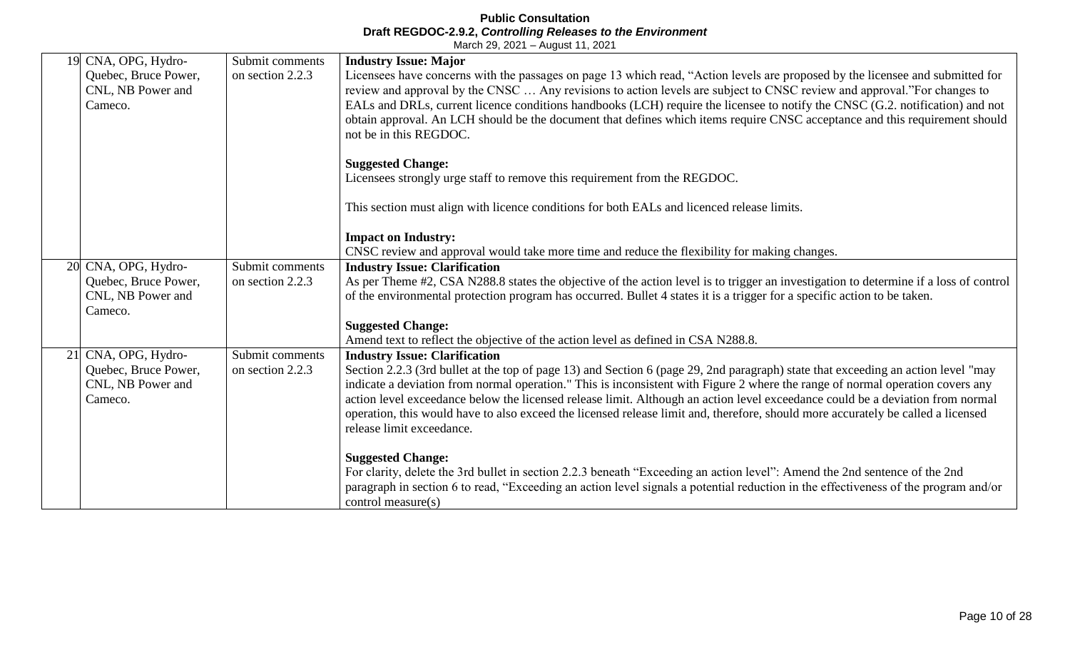| 19 CNA, OPG, Hydro-<br>Quebec, Bruce Power, | Submit comments<br>on section 2.2.3 | <b>Industry Issue: Major</b><br>Licensees have concerns with the passages on page 13 which read, "Action levels are proposed by the licensee and submitted for                                                                                                    |
|---------------------------------------------|-------------------------------------|-------------------------------------------------------------------------------------------------------------------------------------------------------------------------------------------------------------------------------------------------------------------|
| CNL, NB Power and                           |                                     | review and approval by the CNSC  Any revisions to action levels are subject to CNSC review and approval."For changes to                                                                                                                                           |
| Cameco.                                     |                                     | EALs and DRLs, current licence conditions handbooks (LCH) require the licensee to notify the CNSC (G.2. notification) and not                                                                                                                                     |
|                                             |                                     | obtain approval. An LCH should be the document that defines which items require CNSC acceptance and this requirement should                                                                                                                                       |
|                                             |                                     | not be in this REGDOC.                                                                                                                                                                                                                                            |
|                                             |                                     | <b>Suggested Change:</b>                                                                                                                                                                                                                                          |
|                                             |                                     | Licensees strongly urge staff to remove this requirement from the REGDOC.                                                                                                                                                                                         |
|                                             |                                     | This section must align with licence conditions for both EALs and licenced release limits.                                                                                                                                                                        |
|                                             |                                     |                                                                                                                                                                                                                                                                   |
|                                             |                                     | <b>Impact on Industry:</b>                                                                                                                                                                                                                                        |
|                                             |                                     | CNSC review and approval would take more time and reduce the flexibility for making changes.                                                                                                                                                                      |
| 20 CNA, OPG, Hydro-                         | Submit comments                     | <b>Industry Issue: Clarification</b>                                                                                                                                                                                                                              |
| Quebec, Bruce Power,                        | on section 2.2.3                    | As per Theme #2, CSA N288.8 states the objective of the action level is to trigger an investigation to determine if a loss of control                                                                                                                             |
| CNL, NB Power and<br>Cameco.                |                                     | of the environmental protection program has occurred. Bullet 4 states it is a trigger for a specific action to be taken.                                                                                                                                          |
|                                             |                                     | <b>Suggested Change:</b>                                                                                                                                                                                                                                          |
|                                             |                                     | Amend text to reflect the objective of the action level as defined in CSA N288.8.                                                                                                                                                                                 |
| 21 CNA, OPG, Hydro-                         | Submit comments                     | <b>Industry Issue: Clarification</b>                                                                                                                                                                                                                              |
| Quebec, Bruce Power,                        | on section 2.2.3                    | Section 2.2.3 (3rd bullet at the top of page 13) and Section 6 (page 29, 2nd paragraph) state that exceeding an action level "may                                                                                                                                 |
| CNL, NB Power and<br>Cameco.                |                                     | indicate a deviation from normal operation." This is inconsistent with Figure 2 where the range of normal operation covers any<br>action level exceedance below the licensed release limit. Although an action level exceedance could be a deviation from normal  |
|                                             |                                     | operation, this would have to also exceed the licensed release limit and, therefore, should more accurately be called a licensed                                                                                                                                  |
|                                             |                                     | release limit exceedance.                                                                                                                                                                                                                                         |
|                                             |                                     |                                                                                                                                                                                                                                                                   |
|                                             |                                     | <b>Suggested Change:</b>                                                                                                                                                                                                                                          |
|                                             |                                     | For clarity, delete the 3rd bullet in section 2.2.3 beneath "Exceeding an action level": Amend the 2nd sentence of the 2nd<br>paragraph in section 6 to read, "Exceeding an action level signals a potential reduction in the effectiveness of the program and/or |
|                                             |                                     | control measure(s)                                                                                                                                                                                                                                                |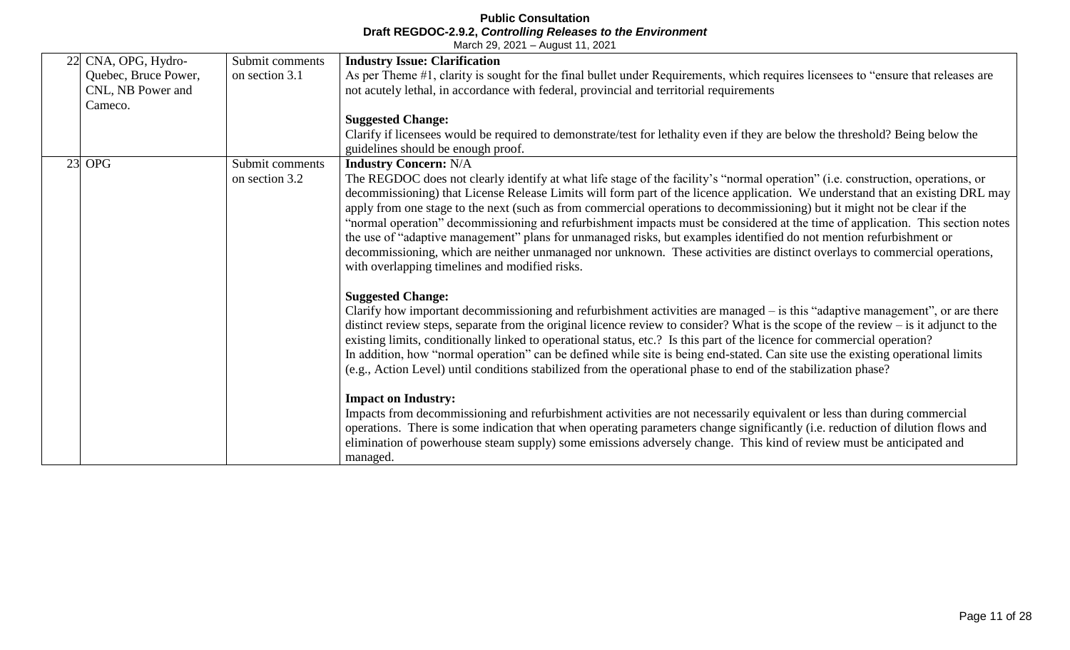| 22 CNA, OPG, Hydro-  | Submit comments | <b>Industry Issue: Clarification</b>                                                                                                 |
|----------------------|-----------------|--------------------------------------------------------------------------------------------------------------------------------------|
| Quebec, Bruce Power, | on section 3.1  | As per Theme #1, clarity is sought for the final bullet under Requirements, which requires licensees to "ensure that releases are    |
| CNL, NB Power and    |                 | not acutely lethal, in accordance with federal, provincial and territorial requirements                                              |
| Cameco.              |                 |                                                                                                                                      |
|                      |                 | <b>Suggested Change:</b>                                                                                                             |
|                      |                 | Clarify if licensees would be required to demonstrate/test for lethality even if they are below the threshold? Being below the       |
|                      |                 | guidelines should be enough proof.                                                                                                   |
| $23$ OPG             | Submit comments | <b>Industry Concern: N/A</b>                                                                                                         |
|                      | on section 3.2  | The REGDOC does not clearly identify at what life stage of the facility's "normal operation" (i.e. construction, operations, or      |
|                      |                 | decommissioning) that License Release Limits will form part of the licence application. We understand that an existing DRL may       |
|                      |                 | apply from one stage to the next (such as from commercial operations to decommissioning) but it might not be clear if the            |
|                      |                 | "normal operation" decommissioning and refurbishment impacts must be considered at the time of application. This section notes       |
|                      |                 | the use of "adaptive management" plans for unmanaged risks, but examples identified do not mention refurbishment or                  |
|                      |                 | decommissioning, which are neither unmanaged nor unknown. These activities are distinct overlays to commercial operations,           |
|                      |                 | with overlapping timelines and modified risks.                                                                                       |
|                      |                 |                                                                                                                                      |
|                      |                 | <b>Suggested Change:</b>                                                                                                             |
|                      |                 | Clarify how important decommissioning and refurbishment activities are managed – is this "adaptive management", or are there         |
|                      |                 | distinct review steps, separate from the original licence review to consider? What is the scope of the review – is it adjunct to the |
|                      |                 | existing limits, conditionally linked to operational status, etc.? Is this part of the licence for commercial operation?             |
|                      |                 | In addition, how "normal operation" can be defined while site is being end-stated. Can site use the existing operational limits      |
|                      |                 | (e.g., Action Level) until conditions stabilized from the operational phase to end of the stabilization phase?                       |
|                      |                 |                                                                                                                                      |
|                      |                 | <b>Impact on Industry:</b>                                                                                                           |
|                      |                 | Impacts from decommissioning and refurbishment activities are not necessarily equivalent or less than during commercial              |
|                      |                 | operations. There is some indication that when operating parameters change significantly (i.e. reduction of dilution flows and       |
|                      |                 | elimination of powerhouse steam supply) some emissions adversely change. This kind of review must be anticipated and                 |
|                      |                 | managed.                                                                                                                             |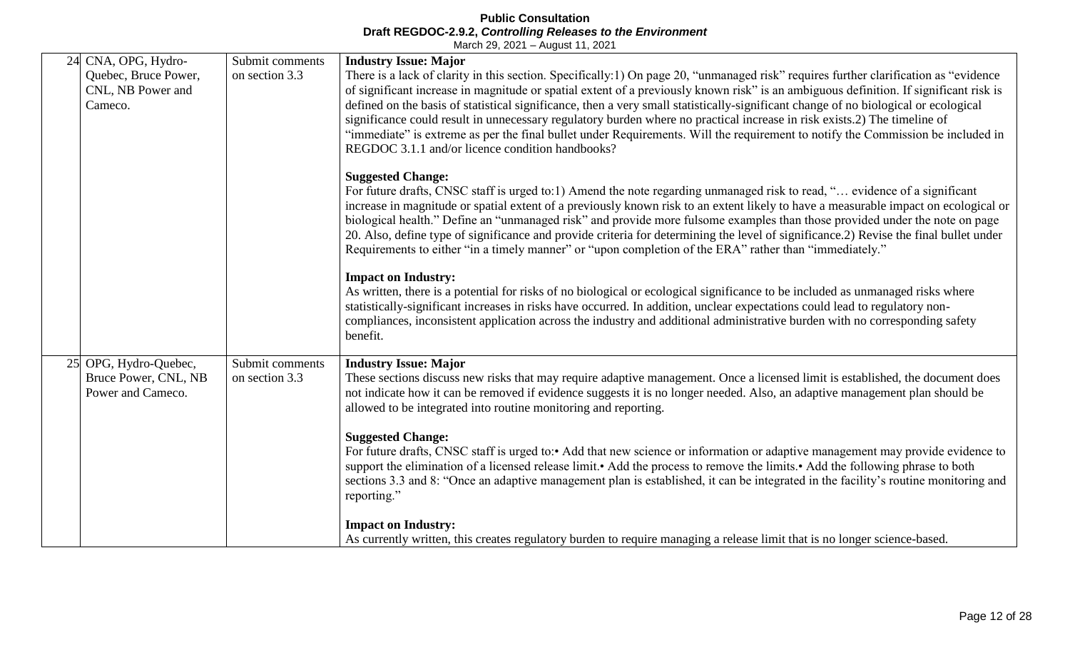|    | 24 CNA, OPG, Hydro-                                             | Submit comments                   | <b>Industry Issue: Major</b>                                                                                                                                                                                                                                                                                                                                                                                                                                                                                                                                                                                                                                                                                                            |
|----|-----------------------------------------------------------------|-----------------------------------|-----------------------------------------------------------------------------------------------------------------------------------------------------------------------------------------------------------------------------------------------------------------------------------------------------------------------------------------------------------------------------------------------------------------------------------------------------------------------------------------------------------------------------------------------------------------------------------------------------------------------------------------------------------------------------------------------------------------------------------------|
|    | Quebec, Bruce Power,<br>CNL, NB Power and<br>Cameco.            | on section 3.3                    | There is a lack of clarity in this section. Specifically:1) On page 20, "unmanaged risk" requires further clarification as "evidence<br>of significant increase in magnitude or spatial extent of a previously known risk" is an ambiguous definition. If significant risk is<br>defined on the basis of statistical significance, then a very small statistically-significant change of no biological or ecological<br>significance could result in unnecessary regulatory burden where no practical increase in risk exists.2) The timeline of<br>"immediate" is extreme as per the final bullet under Requirements. Will the requirement to notify the Commission be included in<br>REGDOC 3.1.1 and/or licence condition handbooks? |
|    |                                                                 |                                   | <b>Suggested Change:</b><br>For future drafts, CNSC staff is urged to:1) Amend the note regarding unmanaged risk to read, " evidence of a significant<br>increase in magnitude or spatial extent of a previously known risk to an extent likely to have a measurable impact on ecological or<br>biological health." Define an "unmanaged risk" and provide more fulsome examples than those provided under the note on page<br>20. Also, define type of significance and provide criteria for determining the level of significance. 2) Revise the final bullet under<br>Requirements to either "in a timely manner" or "upon completion of the ERA" rather than "immediately."                                                         |
|    |                                                                 |                                   | <b>Impact on Industry:</b><br>As written, there is a potential for risks of no biological or ecological significance to be included as unmanaged risks where<br>statistically-significant increases in risks have occurred. In addition, unclear expectations could lead to regulatory non-<br>compliances, inconsistent application across the industry and additional administrative burden with no corresponding safety<br>benefit.                                                                                                                                                                                                                                                                                                  |
| 25 | OPG, Hydro-Quebec,<br>Bruce Power, CNL, NB<br>Power and Cameco. | Submit comments<br>on section 3.3 | <b>Industry Issue: Major</b><br>These sections discuss new risks that may require adaptive management. Once a licensed limit is established, the document does<br>not indicate how it can be removed if evidence suggests it is no longer needed. Also, an adaptive management plan should be<br>allowed to be integrated into routine monitoring and reporting.                                                                                                                                                                                                                                                                                                                                                                        |
|    |                                                                 |                                   | <b>Suggested Change:</b><br>For future drafts, CNSC staff is urged to:• Add that new science or information or adaptive management may provide evidence to<br>support the elimination of a licensed release limit.• Add the process to remove the limits.• Add the following phrase to both<br>sections 3.3 and 8: "Once an adaptive management plan is established, it can be integrated in the facility's routine monitoring and<br>reporting."                                                                                                                                                                                                                                                                                       |
|    |                                                                 |                                   | <b>Impact on Industry:</b><br>As currently written, this creates regulatory burden to require managing a release limit that is no longer science-based.                                                                                                                                                                                                                                                                                                                                                                                                                                                                                                                                                                                 |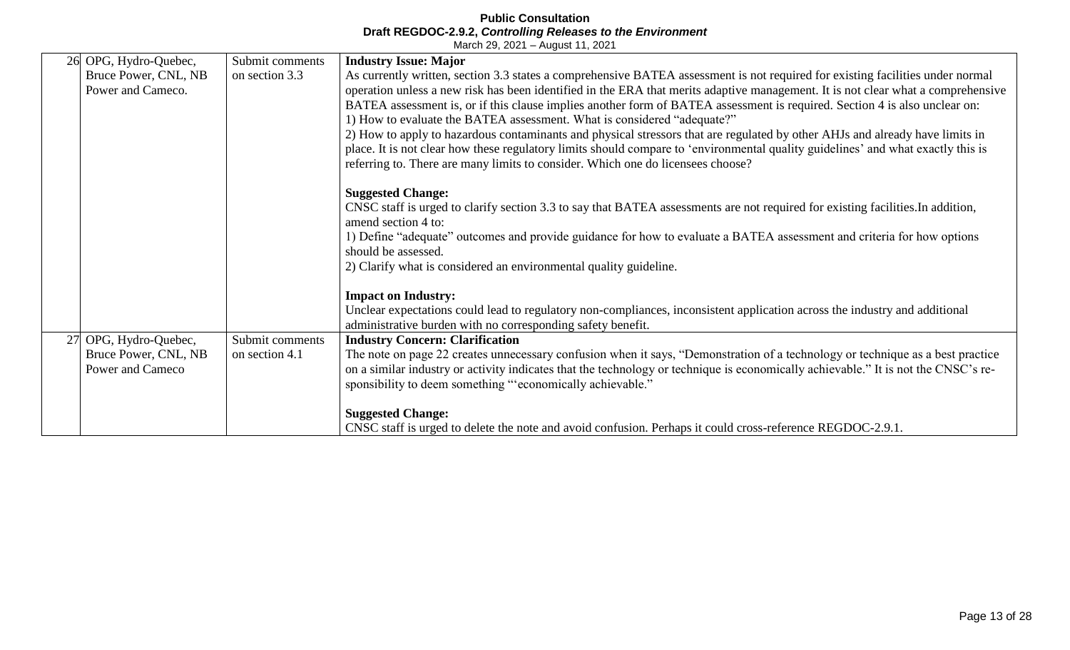|    | 26 OPG, Hydro-Quebec, | Submit comments | <b>Industry Issue: Major</b>                                                                                                                                |
|----|-----------------------|-----------------|-------------------------------------------------------------------------------------------------------------------------------------------------------------|
|    | Bruce Power, CNL, NB  | on section 3.3  | As currently written, section 3.3 states a comprehensive BATEA assessment is not required for existing facilities under normal                              |
|    | Power and Cameco.     |                 | operation unless a new risk has been identified in the ERA that merits adaptive management. It is not clear what a comprehensive                            |
|    |                       |                 | BATEA assessment is, or if this clause implies another form of BATEA assessment is required. Section 4 is also unclear on:                                  |
|    |                       |                 | 1) How to evaluate the BATEA assessment. What is considered "adequate?"                                                                                     |
|    |                       |                 | 2) How to apply to hazardous contaminants and physical stressors that are regulated by other AHJs and already have limits in                                |
|    |                       |                 | place. It is not clear how these regulatory limits should compare to 'environmental quality guidelines' and what exactly this is                            |
|    |                       |                 | referring to. There are many limits to consider. Which one do licensees choose?                                                                             |
|    |                       |                 |                                                                                                                                                             |
|    |                       |                 | <b>Suggested Change:</b><br>CNSC staff is urged to clarify section 3.3 to say that BATEA assessments are not required for existing facilities. In addition, |
|    |                       |                 | amend section 4 to:                                                                                                                                         |
|    |                       |                 | 1) Define "adequate" outcomes and provide guidance for how to evaluate a BATEA assessment and criteria for how options                                      |
|    |                       |                 | should be assessed.                                                                                                                                         |
|    |                       |                 | 2) Clarify what is considered an environmental quality guideline.                                                                                           |
|    |                       |                 |                                                                                                                                                             |
|    |                       |                 | <b>Impact on Industry:</b>                                                                                                                                  |
|    |                       |                 | Unclear expectations could lead to regulatory non-compliances, inconsistent application across the industry and additional                                  |
|    |                       |                 | administrative burden with no corresponding safety benefit.                                                                                                 |
| 27 | OPG, Hydro-Quebec,    | Submit comments | <b>Industry Concern: Clarification</b>                                                                                                                      |
|    | Bruce Power, CNL, NB  | on section 4.1  | The note on page 22 creates unnecessary confusion when it says, "Demonstration of a technology or technique as a best practice                              |
|    | Power and Cameco      |                 | on a similar industry or activity indicates that the technology or technique is economically achievable." It is not the CNSC's re-                          |
|    |                       |                 | sponsibility to deem something "'economically achievable."                                                                                                  |
|    |                       |                 |                                                                                                                                                             |
|    |                       |                 | <b>Suggested Change:</b>                                                                                                                                    |
|    |                       |                 | CNSC staff is urged to delete the note and avoid confusion. Perhaps it could cross-reference REGDOC-2.9.1.                                                  |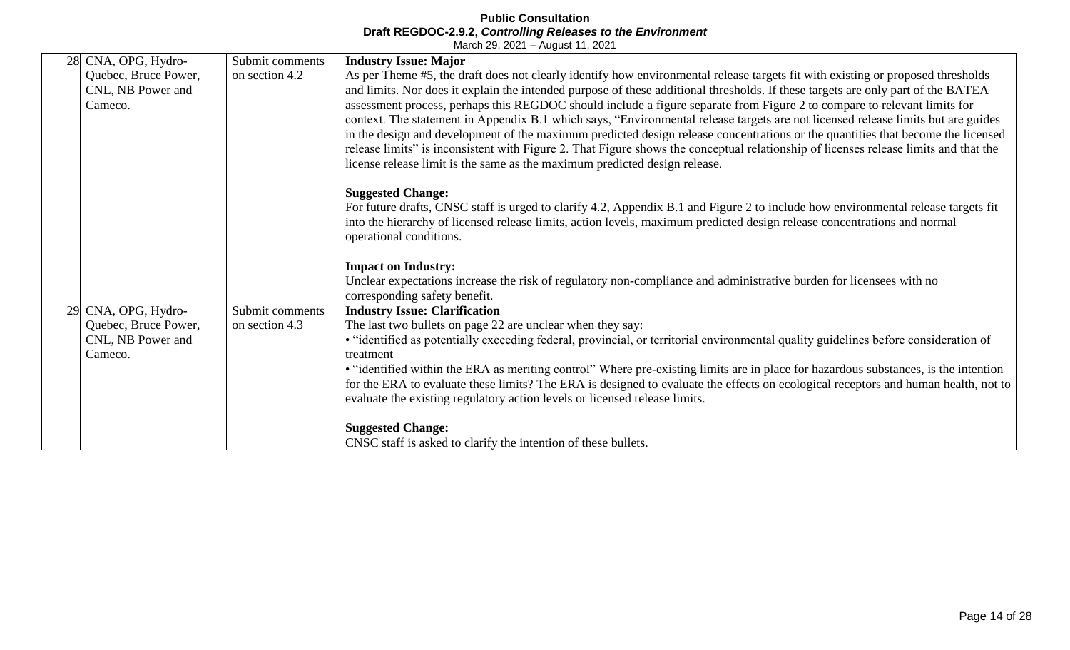|    | 28 CNA, OPG, Hydro-                                  | Submit comments | <b>Industry Issue: Major</b>                                                                                                                                                                                                                                                                                                                                                                                                                                                                                                                                                                                                                                                                                                                                                                                                                                                                 |
|----|------------------------------------------------------|-----------------|----------------------------------------------------------------------------------------------------------------------------------------------------------------------------------------------------------------------------------------------------------------------------------------------------------------------------------------------------------------------------------------------------------------------------------------------------------------------------------------------------------------------------------------------------------------------------------------------------------------------------------------------------------------------------------------------------------------------------------------------------------------------------------------------------------------------------------------------------------------------------------------------|
|    | Quebec, Bruce Power,<br>CNL, NB Power and<br>Cameco. | on section 4.2  | As per Theme #5, the draft does not clearly identify how environmental release targets fit with existing or proposed thresholds<br>and limits. Nor does it explain the intended purpose of these additional thresholds. If these targets are only part of the BATEA<br>assessment process, perhaps this REGDOC should include a figure separate from Figure 2 to compare to relevant limits for<br>context. The statement in Appendix B.1 which says, "Environmental release targets are not licensed release limits but are guides<br>in the design and development of the maximum predicted design release concentrations or the quantities that become the licensed<br>release limits" is inconsistent with Figure 2. That Figure shows the conceptual relationship of licenses release limits and that the<br>license release limit is the same as the maximum predicted design release. |
|    |                                                      |                 | <b>Suggested Change:</b><br>For future drafts, CNSC staff is urged to clarify 4.2, Appendix B.1 and Figure 2 to include how environmental release targets fit<br>into the hierarchy of licensed release limits, action levels, maximum predicted design release concentrations and normal<br>operational conditions.                                                                                                                                                                                                                                                                                                                                                                                                                                                                                                                                                                         |
|    |                                                      |                 | <b>Impact on Industry:</b><br>Unclear expectations increase the risk of regulatory non-compliance and administrative burden for licensees with no<br>corresponding safety benefit.                                                                                                                                                                                                                                                                                                                                                                                                                                                                                                                                                                                                                                                                                                           |
| 29 | CNA, OPG, Hydro-                                     | Submit comments | <b>Industry Issue: Clarification</b>                                                                                                                                                                                                                                                                                                                                                                                                                                                                                                                                                                                                                                                                                                                                                                                                                                                         |
|    | Quebec, Bruce Power,<br>CNL, NB Power and<br>Cameco. | on section 4.3  | The last two bullets on page 22 are unclear when they say:<br>• "identified as potentially exceeding federal, provincial, or territorial environmental quality guidelines before consideration of<br>treatment<br>• "identified within the ERA as meriting control" Where pre-existing limits are in place for hazardous substances, is the intention<br>for the ERA to evaluate these limits? The ERA is designed to evaluate the effects on ecological receptors and human health, not to<br>evaluate the existing regulatory action levels or licensed release limits.                                                                                                                                                                                                                                                                                                                    |
|    |                                                      |                 | <b>Suggested Change:</b><br>CNSC staff is asked to clarify the intention of these bullets.                                                                                                                                                                                                                                                                                                                                                                                                                                                                                                                                                                                                                                                                                                                                                                                                   |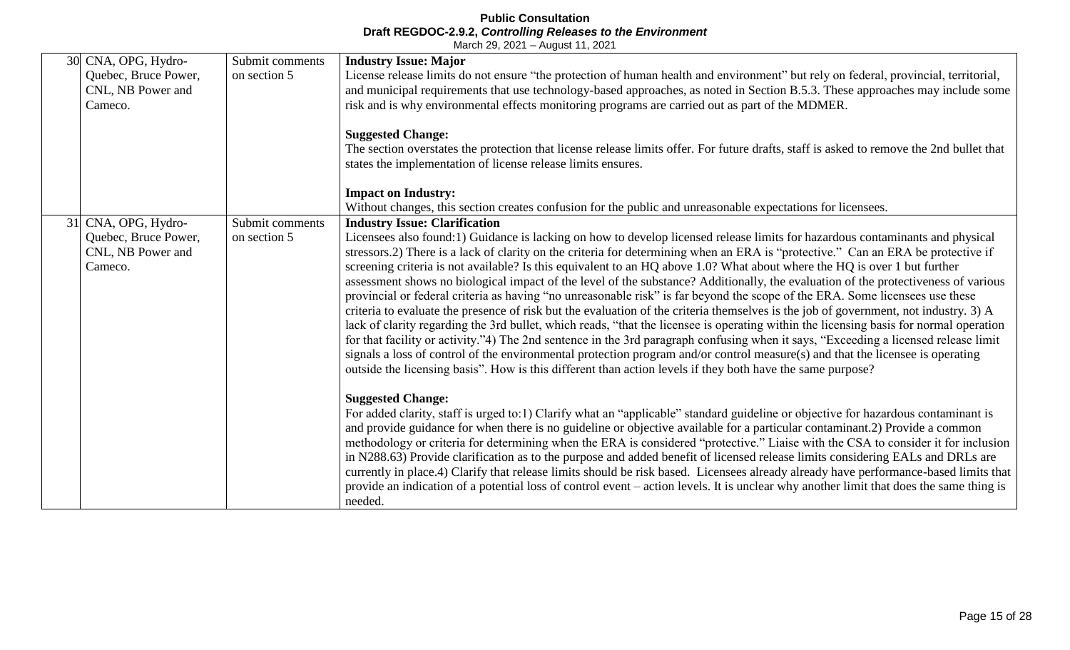| 30 CNA, OPG, Hydro-<br>Quebec, Bruce Power,<br>CNL, NB Power and<br>Cameco. | Submit comments<br>on section 5 | <b>Industry Issue: Major</b><br>License release limits do not ensure "the protection of human health and environment" but rely on federal, provincial, territorial,<br>and municipal requirements that use technology-based approaches, as noted in Section B.5.3. These approaches may include some<br>risk and is why environmental effects monitoring programs are carried out as part of the MDMER.<br><b>Suggested Change:</b><br>The section overstates the protection that license release limits offer. For future drafts, staff is asked to remove the 2nd bullet that<br>states the implementation of license release limits ensures.                                                                                                                                                                                                                                                                                                                                                                                                                                                                                                                                                                                                                                                                                                                                       |
|-----------------------------------------------------------------------------|---------------------------------|---------------------------------------------------------------------------------------------------------------------------------------------------------------------------------------------------------------------------------------------------------------------------------------------------------------------------------------------------------------------------------------------------------------------------------------------------------------------------------------------------------------------------------------------------------------------------------------------------------------------------------------------------------------------------------------------------------------------------------------------------------------------------------------------------------------------------------------------------------------------------------------------------------------------------------------------------------------------------------------------------------------------------------------------------------------------------------------------------------------------------------------------------------------------------------------------------------------------------------------------------------------------------------------------------------------------------------------------------------------------------------------|
|                                                                             |                                 | <b>Impact on Industry:</b><br>Without changes, this section creates confusion for the public and unreasonable expectations for licensees.                                                                                                                                                                                                                                                                                                                                                                                                                                                                                                                                                                                                                                                                                                                                                                                                                                                                                                                                                                                                                                                                                                                                                                                                                                             |
| 31 CNA, OPG, Hydro-<br>Quebec, Bruce Power,<br>CNL, NB Power and<br>Cameco. | Submit comments<br>on section 5 | <b>Industry Issue: Clarification</b><br>Licensees also found:1) Guidance is lacking on how to develop licensed release limits for hazardous contaminants and physical<br>stressors.2) There is a lack of clarity on the criteria for determining when an ERA is "protective." Can an ERA be protective if<br>screening criteria is not available? Is this equivalent to an HQ above 1.0? What about where the HQ is over 1 but further<br>assessment shows no biological impact of the level of the substance? Additionally, the evaluation of the protectiveness of various<br>provincial or federal criteria as having "no unreasonable risk" is far beyond the scope of the ERA. Some licensees use these<br>criteria to evaluate the presence of risk but the evaluation of the criteria themselves is the job of government, not industry. 3) A<br>lack of clarity regarding the 3rd bullet, which reads, "that the licensee is operating within the licensing basis for normal operation<br>for that facility or activity."4) The 2nd sentence in the 3rd paragraph confusing when it says, "Exceeding a licensed release limit<br>signals a loss of control of the environmental protection program and/or control measure(s) and that the licensee is operating<br>outside the licensing basis". How is this different than action levels if they both have the same purpose? |
|                                                                             |                                 | <b>Suggested Change:</b><br>For added clarity, staff is urged to:1) Clarify what an "applicable" standard guideline or objective for hazardous contaminant is<br>and provide guidance for when there is no guideline or objective available for a particular contaminant.2) Provide a common<br>methodology or criteria for determining when the ERA is considered "protective." Liaise with the CSA to consider it for inclusion<br>in N288.63) Provide clarification as to the purpose and added benefit of licensed release limits considering EALs and DRLs are<br>currently in place.4) Clarify that release limits should be risk based. Licensees already already have performance-based limits that<br>provide an indication of a potential loss of control event – action levels. It is unclear why another limit that does the same thing is<br>needed.                                                                                                                                                                                                                                                                                                                                                                                                                                                                                                                     |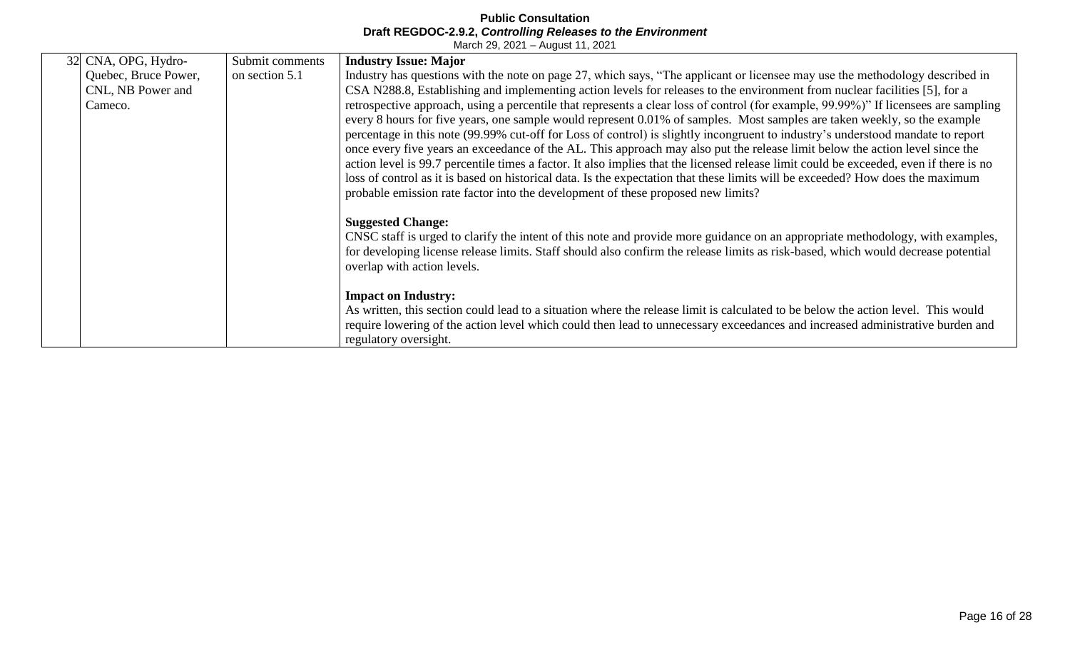| 32 CNA, OPG, Hydro-                                  | Submit comments | <b>Industry Issue: Major</b>                                                                                                                                                                                                                                                                                                                                                                                                                                                                                                                                                                                                                                                                                                                                                                                                                                                                                                                                                                                                                                                                                                                                     |
|------------------------------------------------------|-----------------|------------------------------------------------------------------------------------------------------------------------------------------------------------------------------------------------------------------------------------------------------------------------------------------------------------------------------------------------------------------------------------------------------------------------------------------------------------------------------------------------------------------------------------------------------------------------------------------------------------------------------------------------------------------------------------------------------------------------------------------------------------------------------------------------------------------------------------------------------------------------------------------------------------------------------------------------------------------------------------------------------------------------------------------------------------------------------------------------------------------------------------------------------------------|
| Quebec, Bruce Power,<br>CNL, NB Power and<br>Cameco. | on section 5.1  | Industry has questions with the note on page 27, which says, "The applicant or licensee may use the methodology described in<br>CSA N288.8, Establishing and implementing action levels for releases to the environment from nuclear facilities [5], for a<br>retrospective approach, using a percentile that represents a clear loss of control (for example, 99.99%)" If licensees are sampling<br>every 8 hours for five years, one sample would represent 0.01% of samples. Most samples are taken weekly, so the example<br>percentage in this note (99.99% cut-off for Loss of control) is slightly incongruent to industry's understood mandate to report<br>once every five years an exceedance of the AL. This approach may also put the release limit below the action level since the<br>action level is 99.7 percentile times a factor. It also implies that the licensed release limit could be exceeded, even if there is no<br>loss of control as it is based on historical data. Is the expectation that these limits will be exceeded? How does the maximum<br>probable emission rate factor into the development of these proposed new limits? |
|                                                      |                 | <b>Suggested Change:</b><br>CNSC staff is urged to clarify the intent of this note and provide more guidance on an appropriate methodology, with examples,<br>for developing license release limits. Staff should also confirm the release limits as risk-based, which would decrease potential<br>overlap with action levels.                                                                                                                                                                                                                                                                                                                                                                                                                                                                                                                                                                                                                                                                                                                                                                                                                                   |
|                                                      |                 | <b>Impact on Industry:</b><br>As written, this section could lead to a situation where the release limit is calculated to be below the action level. This would<br>require lowering of the action level which could then lead to unnecessary exceedances and increased administrative burden and<br>regulatory oversight.                                                                                                                                                                                                                                                                                                                                                                                                                                                                                                                                                                                                                                                                                                                                                                                                                                        |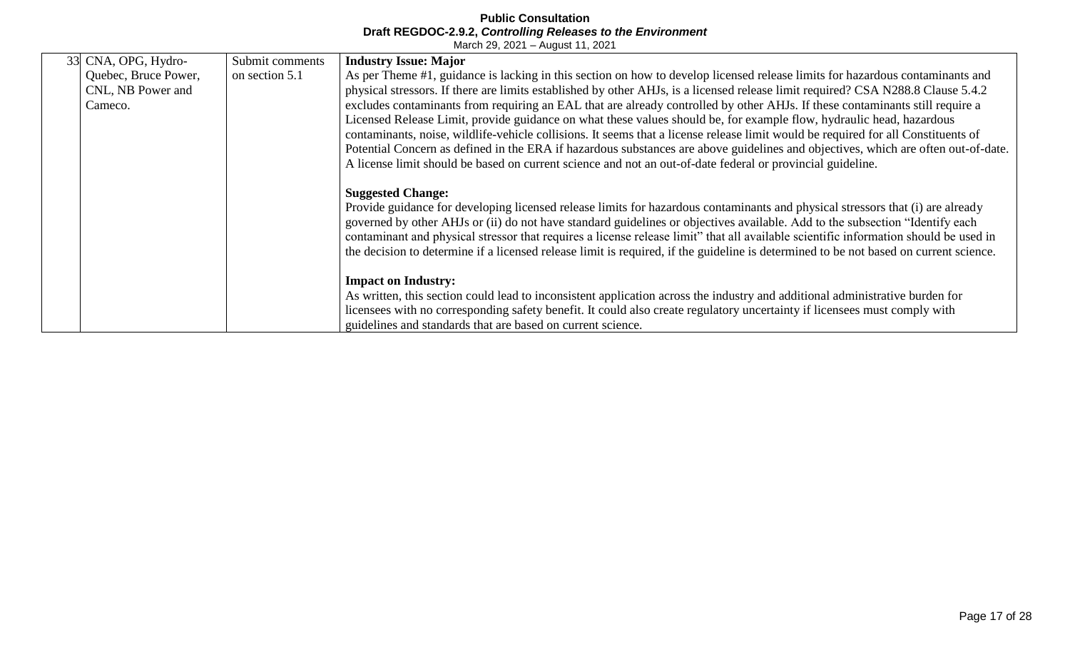| 33 CNA, OPG, Hydro-  | Submit comments | <b>Industry Issue: Major</b>                                                                                                          |
|----------------------|-----------------|---------------------------------------------------------------------------------------------------------------------------------------|
| Quebec, Bruce Power, | on section 5.1  | As per Theme #1, guidance is lacking in this section on how to develop licensed release limits for hazardous contaminants and         |
| CNL, NB Power and    |                 | physical stressors. If there are limits established by other AHJs, is a licensed release limit required? CSA N288.8 Clause 5.4.2      |
| Cameco.              |                 | excludes contaminants from requiring an EAL that are already controlled by other AHJs. If these contaminants still require a          |
|                      |                 | Licensed Release Limit, provide guidance on what these values should be, for example flow, hydraulic head, hazardous                  |
|                      |                 |                                                                                                                                       |
|                      |                 | contaminants, noise, wildlife-vehicle collisions. It seems that a license release limit would be required for all Constituents of     |
|                      |                 | Potential Concern as defined in the ERA if hazardous substances are above guidelines and objectives, which are often out-of-date.     |
|                      |                 | A license limit should be based on current science and not an out-of-date federal or provincial guideline.                            |
|                      |                 |                                                                                                                                       |
|                      |                 | <b>Suggested Change:</b>                                                                                                              |
|                      |                 | Provide guidance for developing licensed release limits for hazardous contaminants and physical stressors that (i) are already        |
|                      |                 | governed by other AHJs or (ii) do not have standard guidelines or objectives available. Add to the subsection "Identify each          |
|                      |                 |                                                                                                                                       |
|                      |                 | contaminant and physical stressor that requires a license release limit" that all available scientific information should be used in  |
|                      |                 | the decision to determine if a licensed release limit is required, if the guideline is determined to be not based on current science. |
|                      |                 |                                                                                                                                       |
|                      |                 | <b>Impact on Industry:</b>                                                                                                            |
|                      |                 | As written, this section could lead to inconsistent application across the industry and additional administrative burden for          |
|                      |                 | licensees with no corresponding safety benefit. It could also create regulatory uncertainty if licensees must comply with             |
|                      |                 | guidelines and standards that are based on current science.                                                                           |
|                      |                 |                                                                                                                                       |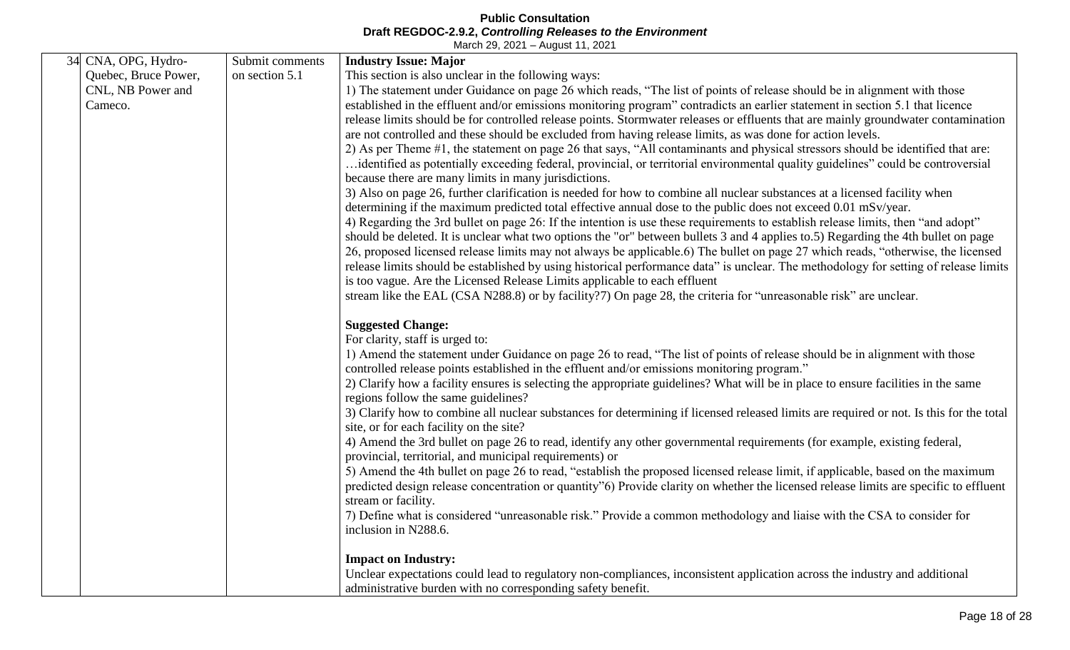| 34 CNA, OPG, Hydro-  | Submit comments | <b>Industry Issue: Major</b>                                                                                                            |
|----------------------|-----------------|-----------------------------------------------------------------------------------------------------------------------------------------|
| Quebec, Bruce Power, | on section 5.1  | This section is also unclear in the following ways:                                                                                     |
| CNL, NB Power and    |                 | 1) The statement under Guidance on page 26 which reads, "The list of points of release should be in alignment with those                |
| Cameco.              |                 | established in the effluent and/or emissions monitoring program" contradicts an earlier statement in section 5.1 that licence           |
|                      |                 | release limits should be for controlled release points. Stormwater releases or effluents that are mainly groundwater contamination      |
|                      |                 | are not controlled and these should be excluded from having release limits, as was done for action levels.                              |
|                      |                 | 2) As per Theme #1, the statement on page 26 that says, "All contaminants and physical stressors should be identified that are:         |
|                      |                 | identified as potentially exceeding federal, provincial, or territorial environmental quality guidelines" could be controversial        |
|                      |                 | because there are many limits in many jurisdictions.                                                                                    |
|                      |                 | 3) Also on page 26, further clarification is needed for how to combine all nuclear substances at a licensed facility when               |
|                      |                 | determining if the maximum predicted total effective annual dose to the public does not exceed 0.01 mSv/year.                           |
|                      |                 | 4) Regarding the 3rd bullet on page 26: If the intention is use these requirements to establish release limits, then "and adopt"        |
|                      |                 | should be deleted. It is unclear what two options the "or" between bullets 3 and 4 applies to.5) Regarding the 4th bullet on page       |
|                      |                 | 26, proposed licensed release limits may not always be applicable.6) The bullet on page 27 which reads, "otherwise, the licensed        |
|                      |                 | release limits should be established by using historical performance data" is unclear. The methodology for setting of release limits    |
|                      |                 | is too vague. Are the Licensed Release Limits applicable to each effluent                                                               |
|                      |                 | stream like the EAL (CSA N288.8) or by facility?7) On page 28, the criteria for "unreasonable risk" are unclear.                        |
|                      |                 | <b>Suggested Change:</b>                                                                                                                |
|                      |                 | For clarity, staff is urged to:                                                                                                         |
|                      |                 | 1) Amend the statement under Guidance on page 26 to read, "The list of points of release should be in alignment with those              |
|                      |                 | controlled release points established in the effluent and/or emissions monitoring program."                                             |
|                      |                 | 2) Clarify how a facility ensures is selecting the appropriate guidelines? What will be in place to ensure facilities in the same       |
|                      |                 | regions follow the same guidelines?                                                                                                     |
|                      |                 | 3) Clarify how to combine all nuclear substances for determining if licensed released limits are required or not. Is this for the total |
|                      |                 | site, or for each facility on the site?                                                                                                 |
|                      |                 | 4) Amend the 3rd bullet on page 26 to read, identify any other governmental requirements (for example, existing federal,                |
|                      |                 | provincial, territorial, and municipal requirements) or                                                                                 |
|                      |                 | 5) Amend the 4th bullet on page 26 to read, "establish the proposed licensed release limit, if applicable, based on the maximum         |
|                      |                 | predicted design release concentration or quantity"6) Provide clarity on whether the licensed release limits are specific to effluent   |
|                      |                 | stream or facility.                                                                                                                     |
|                      |                 | 7) Define what is considered "unreasonable risk." Provide a common methodology and liaise with the CSA to consider for                  |
|                      |                 | inclusion in N288.6.                                                                                                                    |
|                      |                 | <b>Impact on Industry:</b>                                                                                                              |
|                      |                 | Unclear expectations could lead to regulatory non-compliances, inconsistent application across the industry and additional              |
|                      |                 | administrative burden with no corresponding safety benefit.                                                                             |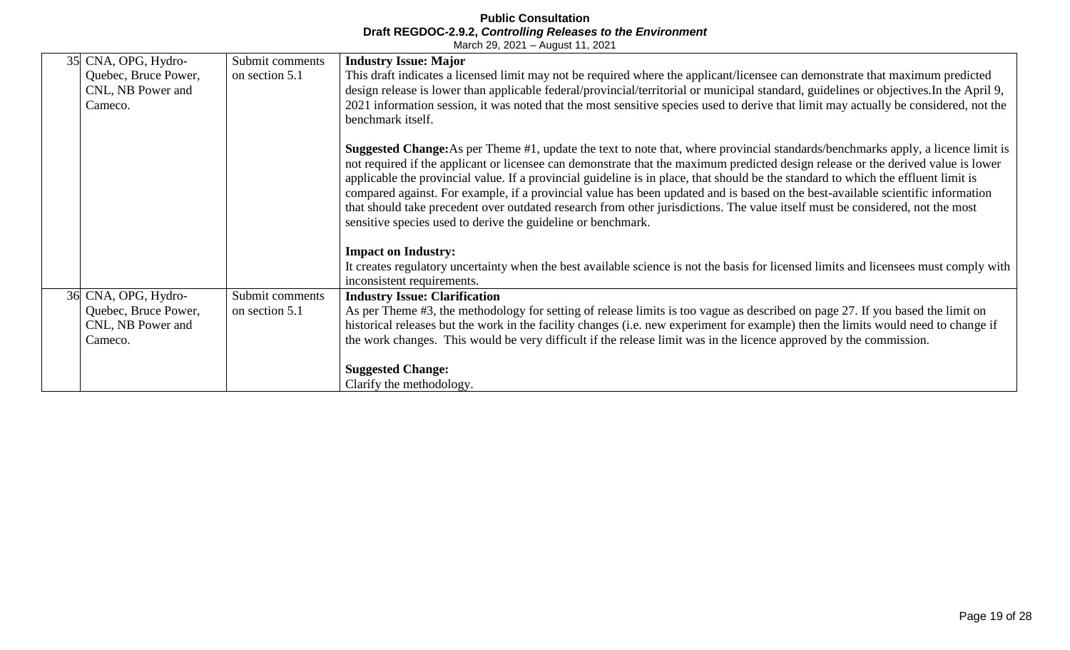| 35 CNA, OPG, Hydro-  | Submit comments | <b>Industry Issue: Major</b>                                                                                                            |
|----------------------|-----------------|-----------------------------------------------------------------------------------------------------------------------------------------|
|                      |                 |                                                                                                                                         |
| Quebec, Bruce Power, | on section 5.1  | This draft indicates a licensed limit may not be required where the applicant/licensee can demonstrate that maximum predicted           |
| CNL, NB Power and    |                 | design release is lower than applicable federal/provincial/territorial or municipal standard, guidelines or objectives. In the April 9, |
| Cameco.              |                 | 2021 information session, it was noted that the most sensitive species used to derive that limit may actually be considered, not the    |
|                      |                 | benchmark itself.                                                                                                                       |
|                      |                 |                                                                                                                                         |
|                      |                 | <b>Suggested Change:</b> As per Theme #1, update the text to note that, where provincial standards/benchmarks apply, a licence limit is |
|                      |                 | not required if the applicant or licensee can demonstrate that the maximum predicted design release or the derived value is lower       |
|                      |                 | applicable the provincial value. If a provincial guideline is in place, that should be the standard to which the effluent limit is      |
|                      |                 | compared against. For example, if a provincial value has been updated and is based on the best-available scientific information         |
|                      |                 | that should take precedent over outdated research from other jurisdictions. The value itself must be considered, not the most           |
|                      |                 | sensitive species used to derive the guideline or benchmark.                                                                            |
|                      |                 |                                                                                                                                         |
|                      |                 | <b>Impact on Industry:</b>                                                                                                              |
|                      |                 | It creates regulatory uncertainty when the best available science is not the basis for licensed limits and licensees must comply with   |
|                      |                 | inconsistent requirements.                                                                                                              |
| 36 CNA, OPG, Hydro-  | Submit comments | <b>Industry Issue: Clarification</b>                                                                                                    |
| Quebec, Bruce Power, | on section 5.1  | As per Theme #3, the methodology for setting of release limits is too vague as described on page 27. If you based the limit on          |
| CNL, NB Power and    |                 | historical releases but the work in the facility changes (i.e. new experiment for example) then the limits would need to change if      |
| Cameco.              |                 | the work changes. This would be very difficult if the release limit was in the licence approved by the commission.                      |
|                      |                 |                                                                                                                                         |
|                      |                 | <b>Suggested Change:</b>                                                                                                                |
|                      |                 | Clarify the methodology.                                                                                                                |
|                      |                 |                                                                                                                                         |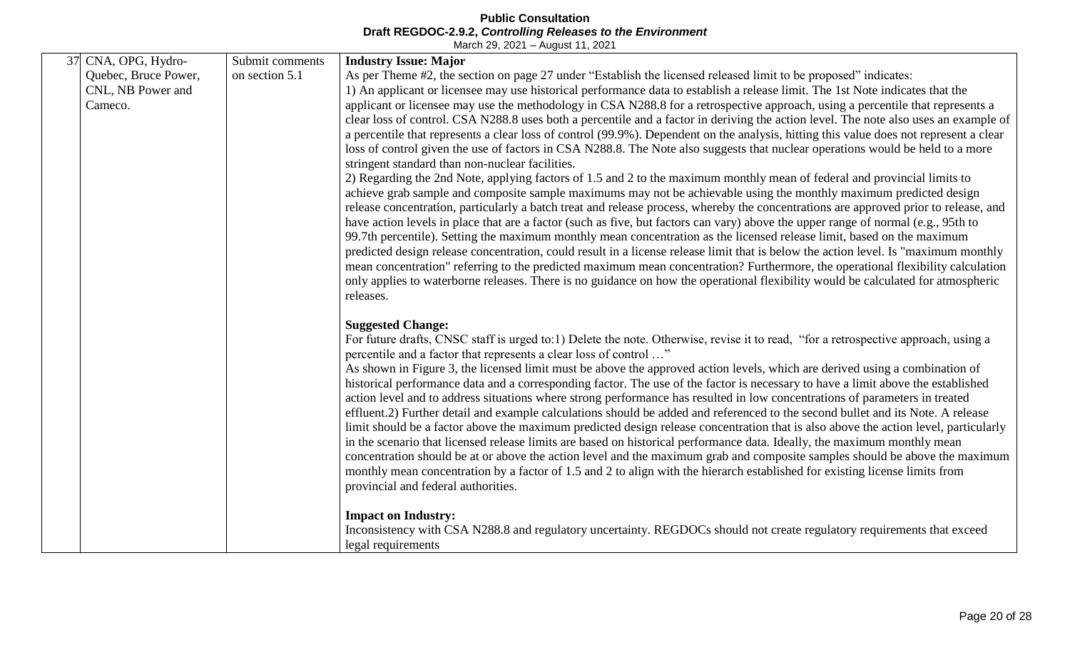| 37 CNA, OPG, Hydro-  | Submit comments | <b>Industry Issue: Major</b>                                                                                                                                                                                                                                           |
|----------------------|-----------------|------------------------------------------------------------------------------------------------------------------------------------------------------------------------------------------------------------------------------------------------------------------------|
| Quebec, Bruce Power, | on section 5.1  | As per Theme #2, the section on page 27 under "Establish the licensed released limit to be proposed" indicates:                                                                                                                                                        |
| CNL, NB Power and    |                 | 1) An applicant or licensee may use historical performance data to establish a release limit. The 1st Note indicates that the                                                                                                                                          |
| Cameco.              |                 | applicant or licensee may use the methodology in CSA N288.8 for a retrospective approach, using a percentile that represents a                                                                                                                                         |
|                      |                 | clear loss of control. CSA N288.8 uses both a percentile and a factor in deriving the action level. The note also uses an example of                                                                                                                                   |
|                      |                 | a percentile that represents a clear loss of control (99.9%). Dependent on the analysis, hitting this value does not represent a clear                                                                                                                                 |
|                      |                 | loss of control given the use of factors in CSA N288.8. The Note also suggests that nuclear operations would be held to a more                                                                                                                                         |
|                      |                 | stringent standard than non-nuclear facilities.                                                                                                                                                                                                                        |
|                      |                 | 2) Regarding the 2nd Note, applying factors of 1.5 and 2 to the maximum monthly mean of federal and provincial limits to                                                                                                                                               |
|                      |                 | achieve grab sample and composite sample maximums may not be achievable using the monthly maximum predicted design                                                                                                                                                     |
|                      |                 | release concentration, particularly a batch treat and release process, whereby the concentrations are approved prior to release, and                                                                                                                                   |
|                      |                 | have action levels in place that are a factor (such as five, but factors can vary) above the upper range of normal (e.g., 95th to                                                                                                                                      |
|                      |                 | 99.7th percentile). Setting the maximum monthly mean concentration as the licensed release limit, based on the maximum                                                                                                                                                 |
|                      |                 | predicted design release concentration, could result in a license release limit that is below the action level. Is "maximum monthly<br>mean concentration" referring to the predicted maximum mean concentration? Furthermore, the operational flexibility calculation |
|                      |                 | only applies to waterborne releases. There is no guidance on how the operational flexibility would be calculated for atmospheric                                                                                                                                       |
|                      |                 | releases.                                                                                                                                                                                                                                                              |
|                      |                 |                                                                                                                                                                                                                                                                        |
|                      |                 | <b>Suggested Change:</b>                                                                                                                                                                                                                                               |
|                      |                 | For future drafts, CNSC staff is urged to:1) Delete the note. Otherwise, revise it to read, "for a retrospective approach, using a                                                                                                                                     |
|                      |                 | percentile and a factor that represents a clear loss of control "                                                                                                                                                                                                      |
|                      |                 | As shown in Figure 3, the licensed limit must be above the approved action levels, which are derived using a combination of                                                                                                                                            |
|                      |                 | historical performance data and a corresponding factor. The use of the factor is necessary to have a limit above the established                                                                                                                                       |
|                      |                 | action level and to address situations where strong performance has resulted in low concentrations of parameters in treated                                                                                                                                            |
|                      |                 | effluent.2) Further detail and example calculations should be added and referenced to the second bullet and its Note. A release                                                                                                                                        |
|                      |                 | limit should be a factor above the maximum predicted design release concentration that is also above the action level, particularly                                                                                                                                    |
|                      |                 | in the scenario that licensed release limits are based on historical performance data. Ideally, the maximum monthly mean                                                                                                                                               |
|                      |                 | concentration should be at or above the action level and the maximum grab and composite samples should be above the maximum                                                                                                                                            |
|                      |                 | monthly mean concentration by a factor of 1.5 and 2 to align with the hierarch established for existing license limits from                                                                                                                                            |
|                      |                 | provincial and federal authorities.                                                                                                                                                                                                                                    |
|                      |                 | <b>Impact on Industry:</b>                                                                                                                                                                                                                                             |
|                      |                 | Inconsistency with CSA N288.8 and regulatory uncertainty. REGDOCs should not create regulatory requirements that exceed                                                                                                                                                |
|                      |                 | legal requirements                                                                                                                                                                                                                                                     |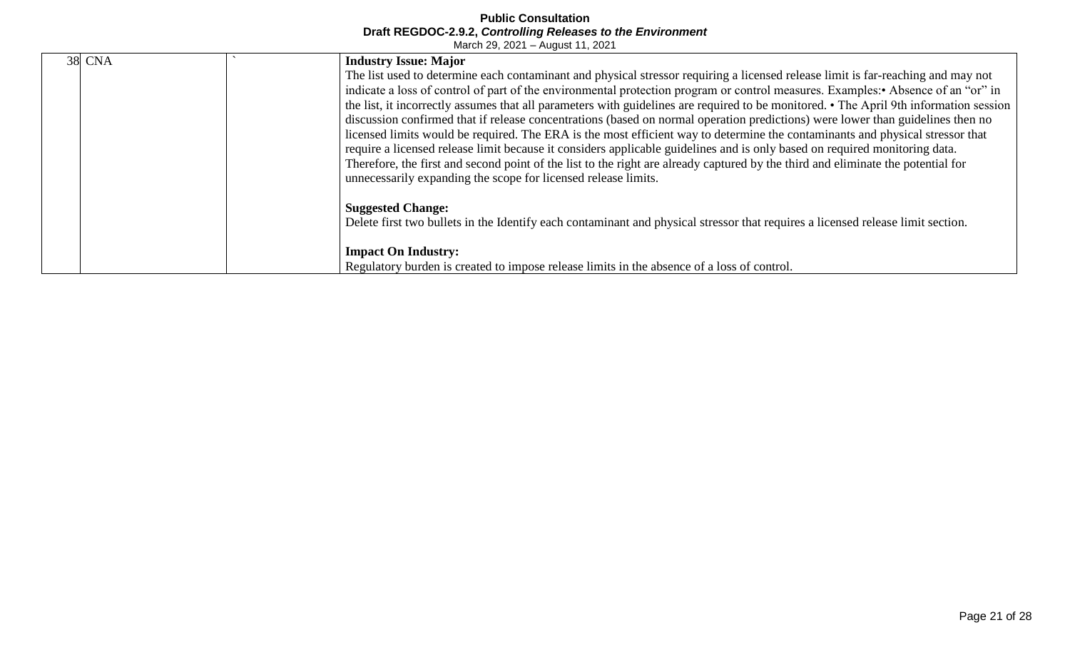| <b>38 CNA</b> | <b>Industry Issue: Major</b>                                                                                                                                                                                                                                                                                                                                                                                                                                                                                                                                                                                                                                                                                                                                                                                                                                                                                                                                                                                         |
|---------------|----------------------------------------------------------------------------------------------------------------------------------------------------------------------------------------------------------------------------------------------------------------------------------------------------------------------------------------------------------------------------------------------------------------------------------------------------------------------------------------------------------------------------------------------------------------------------------------------------------------------------------------------------------------------------------------------------------------------------------------------------------------------------------------------------------------------------------------------------------------------------------------------------------------------------------------------------------------------------------------------------------------------|
|               | The list used to determine each contaminant and physical stressor requiring a licensed release limit is far-reaching and may not<br>indicate a loss of control of part of the environmental protection program or control measures. Examples: Absence of an "or" in<br>the list, it incorrectly assumes that all parameters with guidelines are required to be monitored. • The April 9th information session<br>discussion confirmed that if release concentrations (based on normal operation predictions) were lower than guidelines then no<br>licensed limits would be required. The ERA is the most efficient way to determine the contaminants and physical stressor that<br>require a licensed release limit because it considers applicable guidelines and is only based on required monitoring data.<br>Therefore, the first and second point of the list to the right are already captured by the third and eliminate the potential for<br>unnecessarily expanding the scope for licensed release limits. |
|               | <b>Suggested Change:</b><br>Delete first two bullets in the Identify each contaminant and physical stressor that requires a licensed release limit section.<br><b>Impact On Industry:</b><br>Regulatory burden is created to impose release limits in the absence of a loss of control.                                                                                                                                                                                                                                                                                                                                                                                                                                                                                                                                                                                                                                                                                                                              |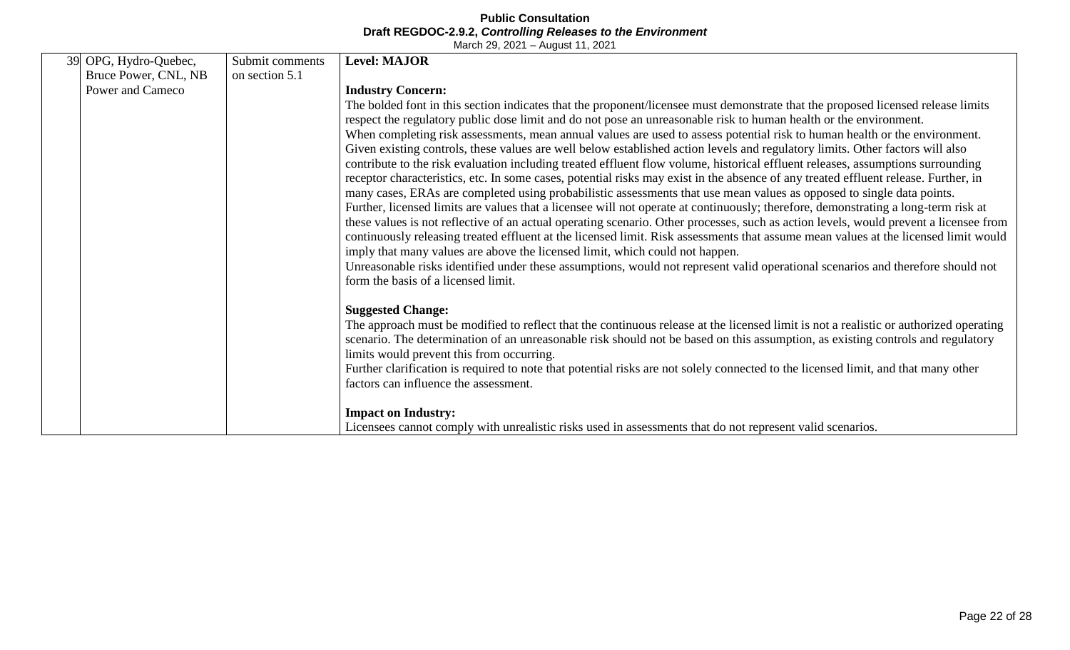| 39 OPG, Hydro-Quebec, | Submit comments | <b>Level: MAJOR</b>                                                                                                                                                                                                                                                         |
|-----------------------|-----------------|-----------------------------------------------------------------------------------------------------------------------------------------------------------------------------------------------------------------------------------------------------------------------------|
| Bruce Power, CNL, NB  | on section 5.1  |                                                                                                                                                                                                                                                                             |
| Power and Cameco      |                 | <b>Industry Concern:</b>                                                                                                                                                                                                                                                    |
|                       |                 | The bolded font in this section indicates that the proponent/licensee must demonstrate that the proposed licensed release limits                                                                                                                                            |
|                       |                 | respect the regulatory public dose limit and do not pose an unreasonable risk to human health or the environment.                                                                                                                                                           |
|                       |                 | When completing risk assessments, mean annual values are used to assess potential risk to human health or the environment.                                                                                                                                                  |
|                       |                 | Given existing controls, these values are well below established action levels and regulatory limits. Other factors will also                                                                                                                                               |
|                       |                 | contribute to the risk evaluation including treated effluent flow volume, historical effluent releases, assumptions surrounding                                                                                                                                             |
|                       |                 | receptor characteristics, etc. In some cases, potential risks may exist in the absence of any treated effluent release. Further, in                                                                                                                                         |
|                       |                 | many cases, ERAs are completed using probabilistic assessments that use mean values as opposed to single data points.                                                                                                                                                       |
|                       |                 | Further, licensed limits are values that a licensee will not operate at continuously; therefore, demonstrating a long-term risk at<br>these values is not reflective of an actual operating scenario. Other processes, such as action levels, would prevent a licensee from |
|                       |                 | continuously releasing treated effluent at the licensed limit. Risk assessments that assume mean values at the licensed limit would                                                                                                                                         |
|                       |                 | imply that many values are above the licensed limit, which could not happen.                                                                                                                                                                                                |
|                       |                 | Unreasonable risks identified under these assumptions, would not represent valid operational scenarios and therefore should not                                                                                                                                             |
|                       |                 | form the basis of a licensed limit.                                                                                                                                                                                                                                         |
|                       |                 |                                                                                                                                                                                                                                                                             |
|                       |                 | <b>Suggested Change:</b>                                                                                                                                                                                                                                                    |
|                       |                 | The approach must be modified to reflect that the continuous release at the licensed limit is not a realistic or authorized operating                                                                                                                                       |
|                       |                 | scenario. The determination of an unreasonable risk should not be based on this assumption, as existing controls and regulatory                                                                                                                                             |
|                       |                 | limits would prevent this from occurring.                                                                                                                                                                                                                                   |
|                       |                 | Further clarification is required to note that potential risks are not solely connected to the licensed limit, and that many other                                                                                                                                          |
|                       |                 | factors can influence the assessment.                                                                                                                                                                                                                                       |
|                       |                 |                                                                                                                                                                                                                                                                             |
|                       |                 | <b>Impact on Industry:</b><br>Licensees cannot comply with unrealistic risks used in assessments that do not represent valid scenarios.                                                                                                                                     |
|                       |                 |                                                                                                                                                                                                                                                                             |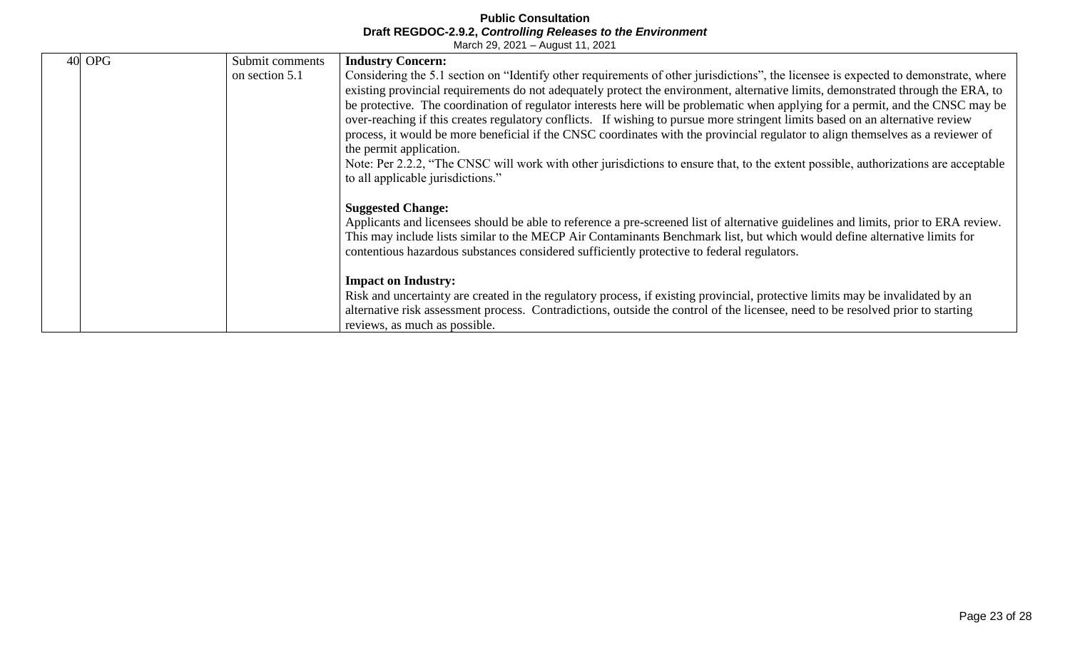| 40 | <b>OPG</b> | Submit comments | <b>Industry Concern:</b>                                                                                                            |
|----|------------|-----------------|-------------------------------------------------------------------------------------------------------------------------------------|
|    |            | on section 5.1  | Considering the 5.1 section on "Identify other requirements of other jurisdictions", the licensee is expected to demonstrate, where |
|    |            |                 | existing provincial requirements do not adequately protect the environment, alternative limits, demonstrated through the ERA, to    |
|    |            |                 | be protective. The coordination of regulator interests here will be problematic when applying for a permit, and the CNSC may be     |
|    |            |                 | over-reaching if this creates regulatory conflicts. If wishing to pursue more stringent limits based on an alternative review       |
|    |            |                 | process, it would be more beneficial if the CNSC coordinates with the provincial regulator to align themselves as a reviewer of     |
|    |            |                 | the permit application.                                                                                                             |
|    |            |                 | Note: Per 2.2.2, "The CNSC will work with other jurisdictions to ensure that, to the extent possible, authorizations are acceptable |
|    |            |                 | to all applicable jurisdictions."                                                                                                   |
|    |            |                 |                                                                                                                                     |
|    |            |                 | <b>Suggested Change:</b>                                                                                                            |
|    |            |                 | Applicants and licensees should be able to reference a pre-screened list of alternative guidelines and limits, prior to ERA review. |
|    |            |                 | This may include lists similar to the MECP Air Contaminants Benchmark list, but which would define alternative limits for           |
|    |            |                 | contentious hazardous substances considered sufficiently protective to federal regulators.                                          |
|    |            |                 |                                                                                                                                     |
|    |            |                 | <b>Impact on Industry:</b>                                                                                                          |
|    |            |                 | Risk and uncertainty are created in the regulatory process, if existing provincial, protective limits may be invalidated by an      |
|    |            |                 | alternative risk assessment process. Contradictions, outside the control of the licensee, need to be resolved prior to starting     |
|    |            |                 | reviews, as much as possible.                                                                                                       |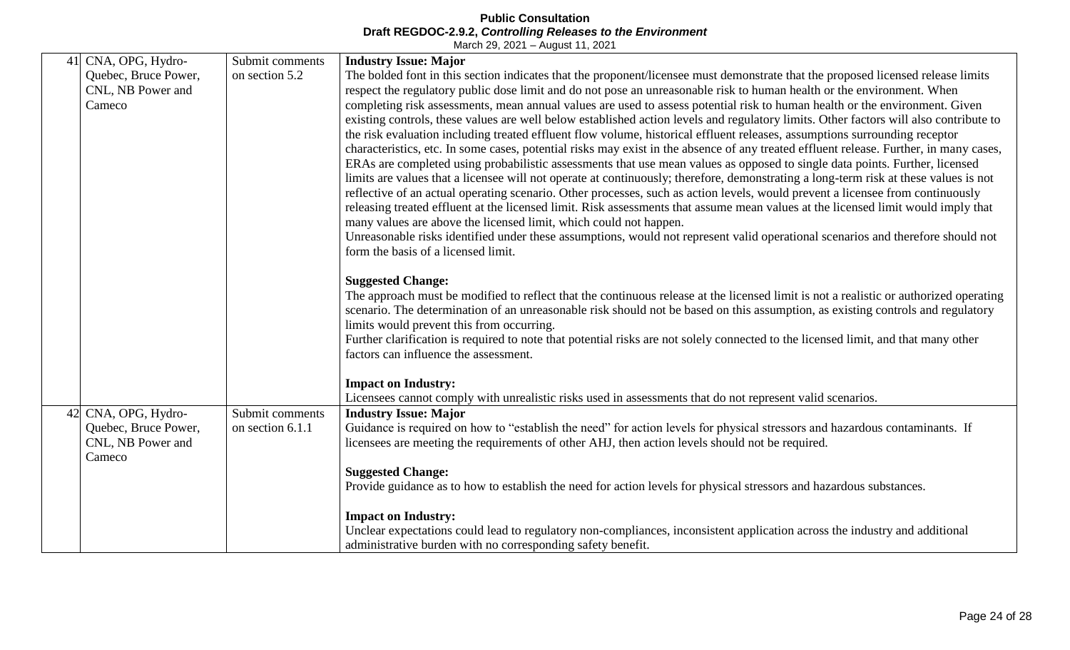| 41 | CNA, OPG, Hydro-     | Submit comments  | <b>Industry Issue: Major</b>                                                                                                                                           |
|----|----------------------|------------------|------------------------------------------------------------------------------------------------------------------------------------------------------------------------|
|    | Quebec, Bruce Power, | on section 5.2   | The bolded font in this section indicates that the proponent/licensee must demonstrate that the proposed licensed release limits                                       |
|    | CNL, NB Power and    |                  | respect the regulatory public dose limit and do not pose an unreasonable risk to human health or the environment. When                                                 |
|    | Cameco               |                  | completing risk assessments, mean annual values are used to assess potential risk to human health or the environment. Given                                            |
|    |                      |                  | existing controls, these values are well below established action levels and regulatory limits. Other factors will also contribute to                                  |
|    |                      |                  | the risk evaluation including treated effluent flow volume, historical effluent releases, assumptions surrounding receptor                                             |
|    |                      |                  | characteristics, etc. In some cases, potential risks may exist in the absence of any treated effluent release. Further, in many cases,                                 |
|    |                      |                  | ERAs are completed using probabilistic assessments that use mean values as opposed to single data points. Further, licensed                                            |
|    |                      |                  | limits are values that a licensee will not operate at continuously; therefore, demonstrating a long-term risk at these values is not                                   |
|    |                      |                  | reflective of an actual operating scenario. Other processes, such as action levels, would prevent a licensee from continuously                                         |
|    |                      |                  | releasing treated effluent at the licensed limit. Risk assessments that assume mean values at the licensed limit would imply that                                      |
|    |                      |                  | many values are above the licensed limit, which could not happen.                                                                                                      |
|    |                      |                  | Unreasonable risks identified under these assumptions, would not represent valid operational scenarios and therefore should not<br>form the basis of a licensed limit. |
|    |                      |                  |                                                                                                                                                                        |
|    |                      |                  | <b>Suggested Change:</b>                                                                                                                                               |
|    |                      |                  | The approach must be modified to reflect that the continuous release at the licensed limit is not a realistic or authorized operating                                  |
|    |                      |                  | scenario. The determination of an unreasonable risk should not be based on this assumption, as existing controls and regulatory                                        |
|    |                      |                  | limits would prevent this from occurring.                                                                                                                              |
|    |                      |                  | Further clarification is required to note that potential risks are not solely connected to the licensed limit, and that many other                                     |
|    |                      |                  | factors can influence the assessment.                                                                                                                                  |
|    |                      |                  | <b>Impact on Industry:</b>                                                                                                                                             |
|    |                      |                  | Licensees cannot comply with unrealistic risks used in assessments that do not represent valid scenarios.                                                              |
| 42 | CNA, OPG, Hydro-     | Submit comments  | <b>Industry Issue: Major</b>                                                                                                                                           |
|    | Quebec, Bruce Power, | on section 6.1.1 | Guidance is required on how to "establish the need" for action levels for physical stressors and hazardous contaminants. If                                            |
|    | CNL, NB Power and    |                  | licensees are meeting the requirements of other AHJ, then action levels should not be required.                                                                        |
|    | Cameco               |                  |                                                                                                                                                                        |
|    |                      |                  | <b>Suggested Change:</b>                                                                                                                                               |
|    |                      |                  | Provide guidance as to how to establish the need for action levels for physical stressors and hazardous substances.                                                    |
|    |                      |                  | <b>Impact on Industry:</b>                                                                                                                                             |
|    |                      |                  | Unclear expectations could lead to regulatory non-compliances, inconsistent application across the industry and additional                                             |
|    |                      |                  | administrative burden with no corresponding safety benefit.                                                                                                            |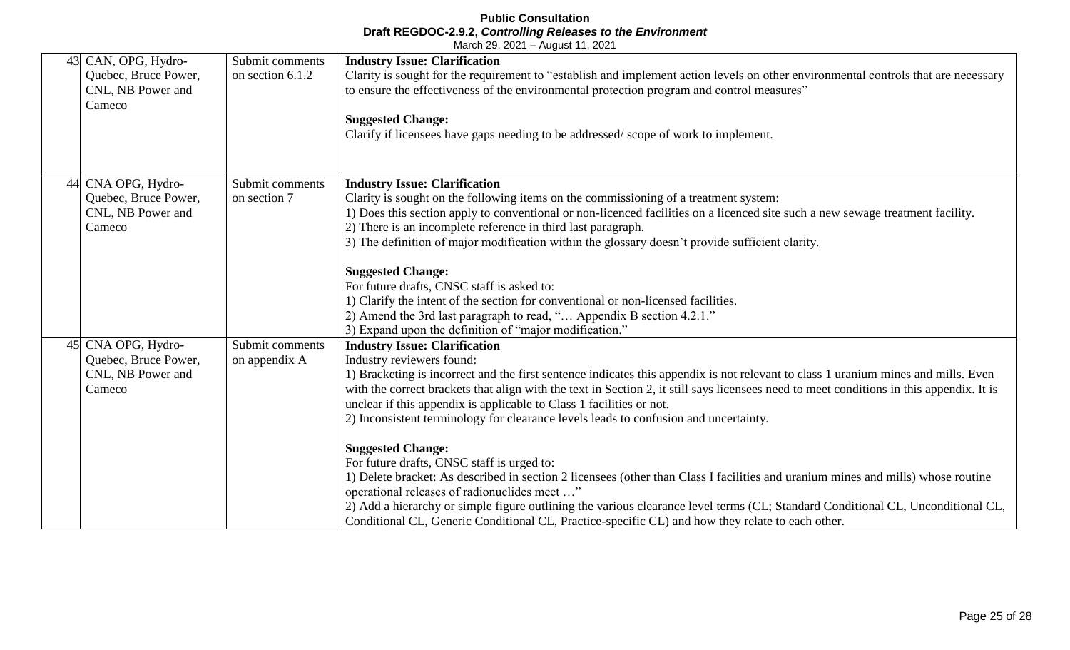| 43 CAN, OPG, Hydro-<br>Quebec, Bruce Power,<br>CNL, NB Power and<br>Cameco | Submit comments<br>on section 6.1.2 | <b>Industry Issue: Clarification</b><br>Clarity is sought for the requirement to "establish and implement action levels on other environmental controls that are necessary<br>to ensure the effectiveness of the environmental protection program and control measures"<br><b>Suggested Change:</b><br>Clarify if licensees have gaps needing to be addressed/scope of work to implement.                                                                                                                           |
|----------------------------------------------------------------------------|-------------------------------------|---------------------------------------------------------------------------------------------------------------------------------------------------------------------------------------------------------------------------------------------------------------------------------------------------------------------------------------------------------------------------------------------------------------------------------------------------------------------------------------------------------------------|
| 44 CNA OPG, Hydro-<br>Quebec, Bruce Power,<br>CNL, NB Power and<br>Cameco  | Submit comments<br>on section 7     | <b>Industry Issue: Clarification</b><br>Clarity is sought on the following items on the commissioning of a treatment system:<br>1) Does this section apply to conventional or non-licenced facilities on a licenced site such a new sewage treatment facility.<br>2) There is an incomplete reference in third last paragraph.<br>3) The definition of major modification within the glossary doesn't provide sufficient clarity.                                                                                   |
|                                                                            |                                     | <b>Suggested Change:</b><br>For future drafts, CNSC staff is asked to:<br>1) Clarify the intent of the section for conventional or non-licensed facilities.<br>2) Amend the 3rd last paragraph to read, " Appendix B section 4.2.1."<br>3) Expand upon the definition of "major modification."                                                                                                                                                                                                                      |
| 45 CNA OPG, Hydro-<br>Quebec, Bruce Power,<br>CNL, NB Power and<br>Cameco  | Submit comments<br>on appendix A    | <b>Industry Issue: Clarification</b><br>Industry reviewers found:<br>1) Bracketing is incorrect and the first sentence indicates this appendix is not relevant to class 1 uranium mines and mills. Even<br>with the correct brackets that align with the text in Section 2, it still says licensees need to meet conditions in this appendix. It is<br>unclear if this appendix is applicable to Class 1 facilities or not.<br>2) Inconsistent terminology for clearance levels leads to confusion and uncertainty. |
|                                                                            |                                     | <b>Suggested Change:</b><br>For future drafts, CNSC staff is urged to:<br>1) Delete bracket: As described in section 2 licensees (other than Class I facilities and uranium mines and mills) whose routine<br>operational releases of radionuclides meet "<br>2) Add a hierarchy or simple figure outlining the various clearance level terms (CL; Standard Conditional CL, Unconditional CL,<br>Conditional CL, Generic Conditional CL, Practice-specific CL) and how they relate to each other.                   |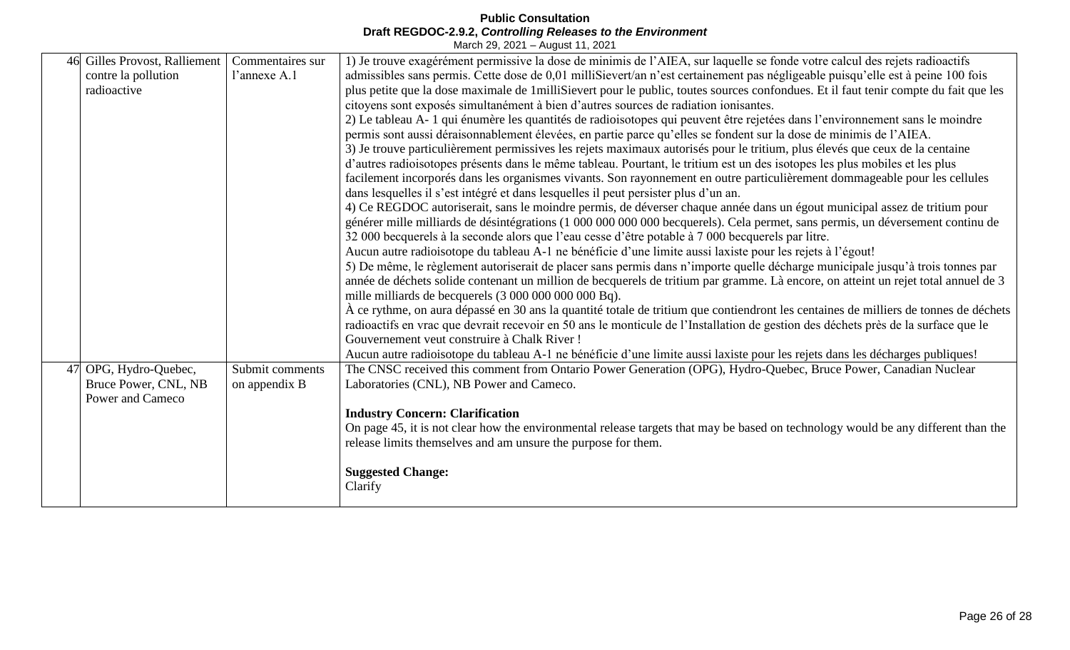| 46 | Gilles Provost, Ralliement<br>contre la pollution<br>radioactive | Commentaires sur<br>l'annexe A.1 | 1) Je trouve exagérément permissive la dose de minimis de l'AIEA, sur laquelle se fonde votre calcul des rejets radioactifs<br>admissibles sans permis. Cette dose de 0,01 milliSievert/an n'est certainement pas négligeable puisqu'elle est à peine 100 fois<br>plus petite que la dose maximale de 1milliSievert pour le public, toutes sources confondues. Et il faut tenir compte du fait que les<br>citoyens sont exposés simultanément à bien d'autres sources de radiation ionisantes.<br>2) Le tableau A-1 qui énumère les quantités de radioisotopes qui peuvent être rejetées dans l'environnement sans le moindre<br>permis sont aussi déraisonnablement élevées, en partie parce qu'elles se fondent sur la dose de minimis de l'AIEA.<br>3) Je trouve particulièrement permissives les rejets maximaux autorisés pour le tritium, plus élevés que ceux de la centaine<br>d'autres radioisotopes présents dans le même tableau. Pourtant, le tritium est un des isotopes les plus mobiles et les plus<br>facilement incorporés dans les organismes vivants. Son rayonnement en outre particulièrement dommageable pour les cellules<br>dans les quelles il s'est intégré et dans les quelles il peut persister plus d'un an.<br>4) Ce REGDOC autoriserait, sans le moindre permis, de déverser chaque année dans un égout municipal assez de tritium pour<br>générer mille milliards de désintégrations (1 000 000 000 000 becquerels). Cela permet, sans permis, un déversement continu de<br>32 000 becquerels à la seconde alors que l'eau cesse d'être potable à 7 000 becquerels par litre.<br>Aucun autre radioisotope du tableau A-1 ne bénéficie d'une limite aussi laxiste pour les rejets à l'égout!<br>5) De même, le règlement autoriserait de placer sans permis dans n'importe quelle décharge municipale jusqu'à trois tonnes par<br>année de déchets solide contenant un million de becquerels de tritium par gramme. Là encore, on atteint un rejet total annuel de 3<br>mille milliards de becquerels (3 000 000 000 000 Bq).<br>À ce rythme, on aura dépassé en 30 ans la quantité totale de tritium que contiendront les centaines de milliers de tonnes de déchets<br>radioactifs en vrac que devrait recevoir en 50 ans le monticule de l'Installation de gestion des déchets près de la surface que le |
|----|------------------------------------------------------------------|----------------------------------|--------------------------------------------------------------------------------------------------------------------------------------------------------------------------------------------------------------------------------------------------------------------------------------------------------------------------------------------------------------------------------------------------------------------------------------------------------------------------------------------------------------------------------------------------------------------------------------------------------------------------------------------------------------------------------------------------------------------------------------------------------------------------------------------------------------------------------------------------------------------------------------------------------------------------------------------------------------------------------------------------------------------------------------------------------------------------------------------------------------------------------------------------------------------------------------------------------------------------------------------------------------------------------------------------------------------------------------------------------------------------------------------------------------------------------------------------------------------------------------------------------------------------------------------------------------------------------------------------------------------------------------------------------------------------------------------------------------------------------------------------------------------------------------------------------------------------------------------------------------------------------------------------------------------------------------------------------------------------------------------------------------------------------------------------------------------------------------------------------------------------------------------------------------------------------------------------------------------------------------------------------------------------------------------------------------------------------------------|
|    |                                                                  |                                  | Gouvernement veut construire à Chalk River!                                                                                                                                                                                                                                                                                                                                                                                                                                                                                                                                                                                                                                                                                                                                                                                                                                                                                                                                                                                                                                                                                                                                                                                                                                                                                                                                                                                                                                                                                                                                                                                                                                                                                                                                                                                                                                                                                                                                                                                                                                                                                                                                                                                                                                                                                                |
| 47 | OPG, Hydro-Quebec,<br>Bruce Power, CNL, NB<br>Power and Cameco   | Submit comments<br>on appendix B | Aucun autre radioisotope du tableau A-1 ne bénéficie d'une limite aussi laxiste pour les rejets dans les décharges publiques!<br>The CNSC received this comment from Ontario Power Generation (OPG), Hydro-Quebec, Bruce Power, Canadian Nuclear<br>Laboratories (CNL), NB Power and Cameco.<br><b>Industry Concern: Clarification</b><br>On page 45, it is not clear how the environmental release targets that may be based on technology would be any different than the<br>release limits themselves and am unsure the purpose for them.<br><b>Suggested Change:</b>                                                                                                                                                                                                                                                                                                                                                                                                                                                                                                                                                                                                                                                                                                                                                                                                                                                                                                                                                                                                                                                                                                                                                                                                                                                                                                                                                                                                                                                                                                                                                                                                                                                                                                                                                                   |
|    |                                                                  |                                  | Clarify                                                                                                                                                                                                                                                                                                                                                                                                                                                                                                                                                                                                                                                                                                                                                                                                                                                                                                                                                                                                                                                                                                                                                                                                                                                                                                                                                                                                                                                                                                                                                                                                                                                                                                                                                                                                                                                                                                                                                                                                                                                                                                                                                                                                                                                                                                                                    |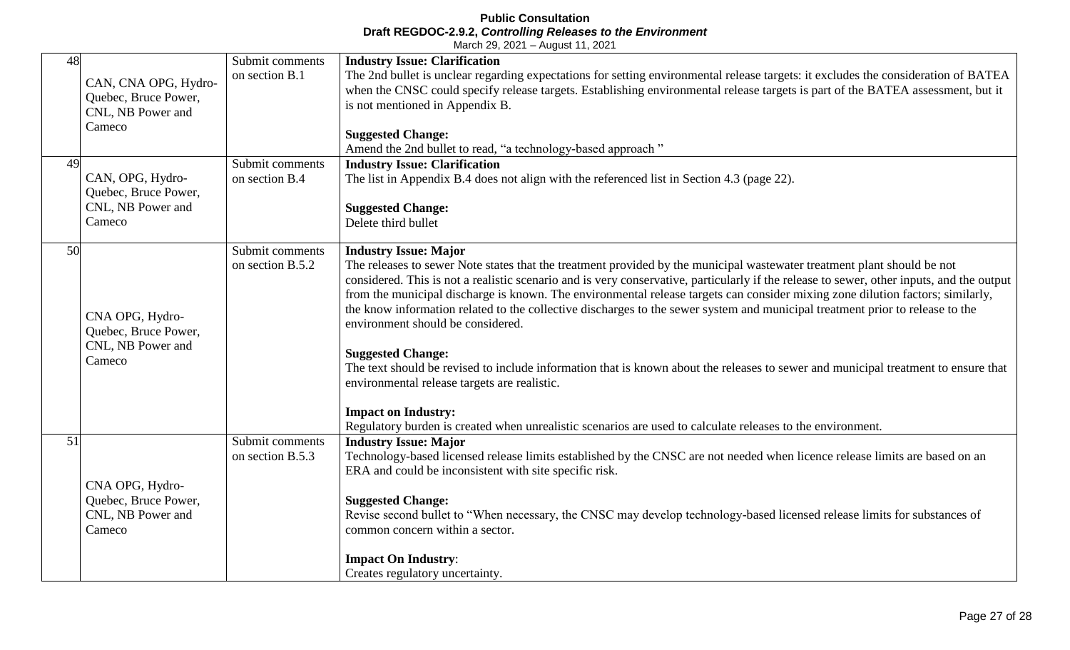| 48<br>49 | CAN, CNA OPG, Hydro-<br>Quebec, Bruce Power,<br>CNL, NB Power and<br>Cameco<br>CAN, OPG, Hydro-<br>Quebec, Bruce Power,<br>CNL, NB Power and | Submit comments<br>on section B.1<br>Submit comments<br>on section B.4 | <b>Industry Issue: Clarification</b><br>The 2nd bullet is unclear regarding expectations for setting environmental release targets: it excludes the consideration of BATEA<br>when the CNSC could specify release targets. Establishing environmental release targets is part of the BATEA assessment, but it<br>is not mentioned in Appendix B.<br><b>Suggested Change:</b><br>Amend the 2nd bullet to read, "a technology-based approach"<br><b>Industry Issue: Clarification</b><br>The list in Appendix B.4 does not align with the referenced list in Section 4.3 (page 22).<br><b>Suggested Change:</b>                                                                                                                                                                                                                                                                                                                                                              |
|----------|----------------------------------------------------------------------------------------------------------------------------------------------|------------------------------------------------------------------------|----------------------------------------------------------------------------------------------------------------------------------------------------------------------------------------------------------------------------------------------------------------------------------------------------------------------------------------------------------------------------------------------------------------------------------------------------------------------------------------------------------------------------------------------------------------------------------------------------------------------------------------------------------------------------------------------------------------------------------------------------------------------------------------------------------------------------------------------------------------------------------------------------------------------------------------------------------------------------|
|          | Cameco                                                                                                                                       |                                                                        | Delete third bullet                                                                                                                                                                                                                                                                                                                                                                                                                                                                                                                                                                                                                                                                                                                                                                                                                                                                                                                                                        |
| 50       | CNA OPG, Hydro-<br>Quebec, Bruce Power,<br>CNL, NB Power and<br>Cameco                                                                       | Submit comments<br>on section B.5.2                                    | <b>Industry Issue: Major</b><br>The releases to sewer Note states that the treatment provided by the municipal wastewater treatment plant should be not<br>considered. This is not a realistic scenario and is very conservative, particularly if the release to sewer, other inputs, and the output<br>from the municipal discharge is known. The environmental release targets can consider mixing zone dilution factors; similarly,<br>the know information related to the collective discharges to the sewer system and municipal treatment prior to release to the<br>environment should be considered.<br><b>Suggested Change:</b><br>The text should be revised to include information that is known about the releases to sewer and municipal treatment to ensure that<br>environmental release targets are realistic.<br><b>Impact on Industry:</b><br>Regulatory burden is created when unrealistic scenarios are used to calculate releases to the environment. |
| 51       | CNA OPG, Hydro-<br>Quebec, Bruce Power,<br>CNL, NB Power and<br>Cameco                                                                       | Submit comments<br>on section B.5.3                                    | <b>Industry Issue: Major</b><br>Technology-based licensed release limits established by the CNSC are not needed when licence release limits are based on an<br>ERA and could be inconsistent with site specific risk.<br><b>Suggested Change:</b><br>Revise second bullet to "When necessary, the CNSC may develop technology-based licensed release limits for substances of<br>common concern within a sector.<br><b>Impact On Industry:</b><br>Creates regulatory uncertainty.                                                                                                                                                                                                                                                                                                                                                                                                                                                                                          |